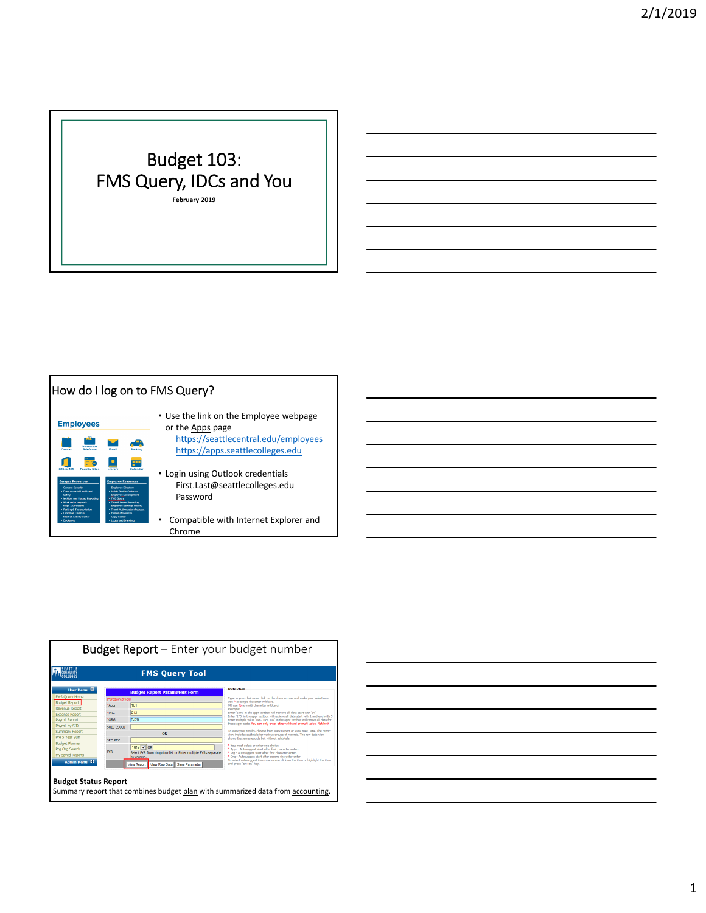## Budget 103: FMS Query, IDCs and You

**February 2019**





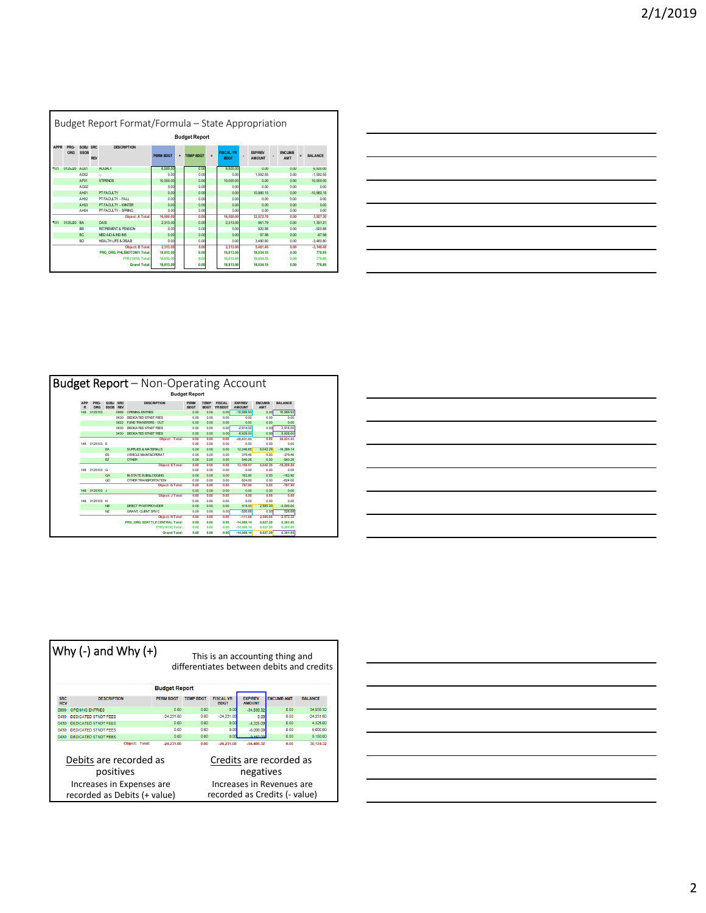|             |                      |                  |            | Budget Report Format/Formula – State Appropriation |                  |   |                  |          |                                 |  |                                 |                       |      |                |
|-------------|----------------------|------------------|------------|----------------------------------------------------|------------------|---|------------------|----------|---------------------------------|--|---------------------------------|-----------------------|------|----------------|
|             | <b>Budget Report</b> |                  |            |                                                    |                  |   |                  |          |                                 |  |                                 |                       |      |                |
| <b>APPR</b> | PRG.<br>ORG          | SOBJ SRC<br>SSOB | <b>RFV</b> | <b>DESCRIPTION</b>                                 | <b>PFRM BDGT</b> | ÷ | <b>TEMP BDGT</b> | $\equiv$ | <b>FISCAL YR</b><br><b>BDGT</b> |  | <b>EXP/REV</b><br><b>AMOUNT</b> | <b>ENCLIMB</b><br>AMT |      | <b>BALANCE</b> |
| 101         | 0125J20              | AD01             |            | <b>HOLFN Y</b>                                     | 6.500.00         |   | 0.00             |          | 6,500.00                        |  | 0.00                            |                       | 0.00 | 6,500.00       |
|             |                      | ADD <sub>2</sub> |            | u.                                                 | 0.00             |   | 0.00             |          | 0.00                            |  | 1.592.55                        |                       | 0.00 | $-1.592.55$    |
|             |                      | AF01             |            | <b>STIPENDS</b>                                    | 10.000.00        |   | 0.00             |          | 10,000.00                       |  | 0.00                            |                       | 0.00 | 10,000.00      |
|             |                      | AG02             |            |                                                    | 0.00             |   | 0.00             |          | 0.00                            |  | 0.00                            |                       | 0.00 | 0.00           |
|             |                      | AH01             |            | PT FACLI TY                                        | 0.00             |   | 0.00             |          | 0.00                            |  | 10.980.15                       |                       | 0.00 | $-10.980.15$   |
|             |                      | AH12             |            | PT FACULTY - FALL                                  | 0.00             |   | 0.00             |          | 0.00                            |  | 0.00                            |                       | 0.00 | 0.00           |
|             |                      | AH <sub>03</sub> |            | PT FACLI TY - WINTER                               | 0.00             |   | 0.00             |          | 0.00                            |  | 0.00                            |                       | 0.00 | 0.00           |
|             |                      | AH04             |            | PT FACULTY - SPRING                                | 0.00             |   | 0.00             |          | 0.00                            |  | 0.00                            |                       | 0.00 | 0.00           |
|             |                      |                  |            | <b>Object: A Total:</b>                            | 16,500.00        |   | 0.00             |          | 16,500.00                       |  | 12,572.70                       |                       | 0.00 | 3.927.30       |
| 501         | 0125.I20 BA          |                  |            | <b>QASI</b>                                        | 2.313.00         |   | 0.00             |          | 2.313.00                        |  | 961.79                          |                       | 0.00 | 1.351.21       |
|             |                      | <b>RR</b>        |            | RETIREMENT & PENSION                               | 0.00             |   | 0.00             |          | 0.00                            |  | 920.88                          |                       | 0.00 | $-920.88$      |
|             |                      | RC               |            | MED AID & ND INS                                   | 0.00             |   | 0.00             |          | 0.00                            |  | 97.98                           |                       | 0.00 | $-97.98$       |
|             |                      | <b>RD</b>        |            | HEALTH LEE & DISAR                                 | 0.00             |   | 0.00             |          | 0.00                            |  | 3 480 80                        |                       | 0.00 | $-3.480.80$    |
|             |                      |                  |            | <b>Object: B Total:</b>                            | 2.313.00         |   | 0.00             |          | 2.313.00                        |  | 5.461.45                        |                       | 0.00 | $-3.148.45$    |
|             |                      |                  |            | PRG ORG: PHLEBOTOMY Total:                         | 18,813.00        |   | 0.00             |          | 18,813.00                       |  | 18.034.15                       |                       | 0.00 | 778.85         |
|             |                      |                  |            | <b>FYR (1819) Total:</b>                           | 18,813.00        |   | 0.00             |          | 18,813.00                       |  | 18.034.15                       |                       | 0.00 | 778.85         |
|             |                      |                  |            | <b>Grand Total:</b>                                | 18,813.00        |   | 0.00             |          | 18,813.00                       |  | 18.034.15                       |                       | 0.00 | 778.85         |

|                      |             |                     |                    | <b>Budget Report</b> – Non-Operating Account |                            |                            |                          |                                 |                             |                 |
|----------------------|-------------|---------------------|--------------------|----------------------------------------------|----------------------------|----------------------------|--------------------------|---------------------------------|-----------------------------|-----------------|
| <b>Budget Report</b> |             |                     |                    |                                              |                            |                            |                          |                                 |                             |                 |
| APP<br>R             | PRG.<br>ORG | SOBI<br><b>SSOB</b> | SRC.<br><b>RFV</b> | <b>DESCRIPTION</b>                           | <b>PFRM</b><br><b>BOGT</b> | <b>TFMP</b><br><b>BDGT</b> | <b>FISCAL</b><br>YR RDGT | <b>FXP/RFV</b><br><b>AMOUNT</b> | <b>ENCUMB</b><br><b>AMT</b> | <b>RAI ANCE</b> |
| 148                  | 0125103     |                     | 0999               | OPPNING ENTRIES                              | 0.00                       | 0.00                       | 0.00                     | $-16.989.93$                    | 0.00                        | 16,989.93       |
|                      |             |                     | 0430               | DEDICATED STNDT FEES                         | 0.00                       | 0.00                       | 0.00                     | 0.00                            | 0.00                        | 0.00            |
|                      |             |                     | 0622               | <b>FUND TRANSFERS - OUT</b>                  | 0.00                       | 0.00                       | 0.00                     | 0.00                            | 0.00                        | 0.00            |
|                      |             |                     | 0430               | DEDICATED STNDT FEES                         | 0.00                       | 0.00                       | 0.00                     | $-2.914.00$                     | 0.00                        | 2.914.00        |
|                      |             |                     | 0430               | DEDICATED STNDT FEES                         | 0.00                       | 0.00                       | 0.00                     | $-8.928.00$                     | 0.00                        | 8.928.00        |
|                      |             |                     |                    | Object: Total:                               | 0.00                       | 0.00                       | 0.00                     | $-28.831.93$                    | 0.00                        | 28.831.93       |
| 148                  | 0125103 E   |                     |                    |                                              | 0.00                       | 0.00                       | 0.00                     | 0.00                            | 0.00                        | 0.00            |
|                      |             | EA                  |                    | SUPPLIES & MATERIALS                         | 0.00                       | 0.00                       | 0.00                     | 12.246.85                       | 6.042.29                    | $-18.289.14$    |
|                      |             | PS.                 |                    | VEHICLE MAINT&OPERAT                         | 0.00                       | 0.00                       | 0.00                     | 379.46                          | 0.00                        | .379 46         |
|                      |             | EZ                  |                    | <b>OTHER</b>                                 | 0.00                       | 0.00                       | 0.00                     | 540.26                          | 0.00                        | $-540.26$       |
|                      |             |                     |                    | <b>Object: ETotal:</b>                       | 0.00                       | 0.00                       | 0.00                     | 13,166.57                       | 6.042.29                    | $-19.208.86$    |
| 148                  | 0125103 G   |                     |                    |                                              | 0.00                       | 0.00                       | 0.00                     | 0.00                            | 0.00                        | 0.00            |
|                      |             | GA.                 |                    | <b>N-STATE SLB&amp;LODGING</b>               | 0.00                       | 0.00                       | 0.00                     | 163.90                          | 0.00                        | $-163.90$       |
|                      |             | GD                  |                    | OTHER TRANSPORTATION                         | 0.00                       | 0.00                       | 0.00                     | 624.00                          | 0.00                        | $-624.00$       |
|                      |             |                     |                    | <b>Object: G Total:</b>                      | 0.00                       | 0.OO                       | 0.00                     | 787.90                          | 0.00                        | $-787.90$       |
| 148                  | 0125103 J   |                     |                    |                                              | 0.00                       | 0.00                       | 0.00                     | 0.00                            | 0.00                        | 0.00            |
|                      |             |                     |                    | <b>Object: J Total:</b>                      | 0.00                       | 0.OO                       | 0.00                     | 0.00                            | 0.00                        | 0.00            |
| 148                  | 0125103 N   |                     |                    |                                              | 0.00                       | 0.00                       | 0.00                     | 0.00                            | 0.00                        | 0.00            |
|                      |             | <b>NR</b>           |                    | DIRECT PYMDEROVIDER                          | 0.00                       | 0.00                       | 0.00                     | 415.00                          | 2.585.00                    | $-3.000.00$     |
|                      |             | NZ                  |                    | <b>GRANT, CLIENT SRVC</b>                    | 0.00                       | 0.00                       | 0.00                     | $-526.68$                       | 0.00                        | 526.68          |
|                      |             |                     |                    | <b>Object: N Total:</b>                      | 0.00                       | 0.OO                       | 0.00                     | $-111.68$                       | 2.585.00                    | $-2.473.32$     |
|                      |             |                     |                    | PRG ORG: SEATTLE CENTRAL Total:              | 0.00                       | 0.00                       | 0.00                     | $-14.989.14$                    | 8.627.29                    | 6.361.85        |
|                      |             |                     |                    | <b>FYR (1819) Total:</b>                     | 0.00                       | 0.00                       | 0.00                     | $-14.989.14$                    | 8.627.29                    | 6.361.85        |
|                      |             |                     |                    | <b>Grand Total:</b>                          | 0.00                       | 0.00                       | 0.00                     | $-14.989.14$                    | 8.627.29                    | 6.361.85        |

| <u> Alexandro de la contrada de la contrada de la contrada de la contrada de la contrada de la contrada de la co</u> |  | ________                    |
|----------------------------------------------------------------------------------------------------------------------|--|-----------------------------|
|                                                                                                                      |  |                             |
|                                                                                                                      |  |                             |
|                                                                                                                      |  |                             |
| ,我们也不会有一个人的事情。""我们的人们是不是我们的人,我们也不会有一个人的人,我们也不会有一个人的人,我们也不会有一个人的人,我们也不会有一个人的人,我们也                                     |  | and the control of the con- |
|                                                                                                                      |  | ______                      |
| <u> 1989 - Johann Stoff, amerikansk politiker (d. 1989)</u>                                                          |  |                             |
|                                                                                                                      |  |                             |

|                    | $ Why (-)$ and Why $(+)$                                  |                |                      |                  |                                                                         |                                 | This is an accounting thing and | differentiates between debits and credits |  |  |  |
|--------------------|-----------------------------------------------------------|----------------|----------------------|------------------|-------------------------------------------------------------------------|---------------------------------|---------------------------------|-------------------------------------------|--|--|--|
|                    |                                                           |                | <b>Budget Report</b> |                  |                                                                         |                                 |                                 |                                           |  |  |  |
| SRC.<br><b>REV</b> | <b>DESCRIPTION</b>                                        |                | <b>PERM BDGT</b>     | <b>TEMP BDGT</b> | <b>FISCAL YR</b><br><b>BDGT</b>                                         | <b>FXP/RFV</b><br><b>AMOUNT</b> | <b>ENCUMB AMT</b>               | <b>BALANCE</b>                            |  |  |  |
| 0999               | <b>OPENING ENTRIES</b>                                    |                | 0.00                 | 0.00             | 0.00                                                                    | $-34.930.32$                    | 0.00                            | 34.930.32                                 |  |  |  |
| 0430               | <b>DEDICATED STNDT FEES</b>                               |                | $-24,231,00$         | 0.00             | $-24.231.00$                                                            | 0.00                            | 0.00                            | $-24.231.00$                              |  |  |  |
| 0430               | <b>DEDICATED STNDT FEES</b>                               |                | 0.00                 | 0.00             | 0.00                                                                    | $-4.325.00$                     | 0.00                            | 4.325.00                                  |  |  |  |
| 0430               | DEDICATED STNDT FEES                                      |                | n on                 | 0.00             | 0.00                                                                    | $-6,000,00$                     | 0.00                            | 6.000.00                                  |  |  |  |
| 0430               | <b>DEDICATED STNDT FEES</b>                               |                | 0.00                 | 0.00             | 0.00                                                                    | 0.15000                         | 0.00                            | 9.150.00                                  |  |  |  |
|                    |                                                           | Object: Total: | $-24.231.00$         | 0.00             | $-24.231.00$                                                            | $-54,405,32$                    | 0.00                            | 30.174.32                                 |  |  |  |
|                    | Debits are recorded as<br>positives                       |                |                      |                  |                                                                         |                                 | Credits are recorded as         |                                           |  |  |  |
|                    | Increases in Expenses are<br>recorded as Debits (+ value) |                |                      |                  | negatives<br>Increases in Revenues are<br>recorded as Credits (- value) |                                 |                                 |                                           |  |  |  |

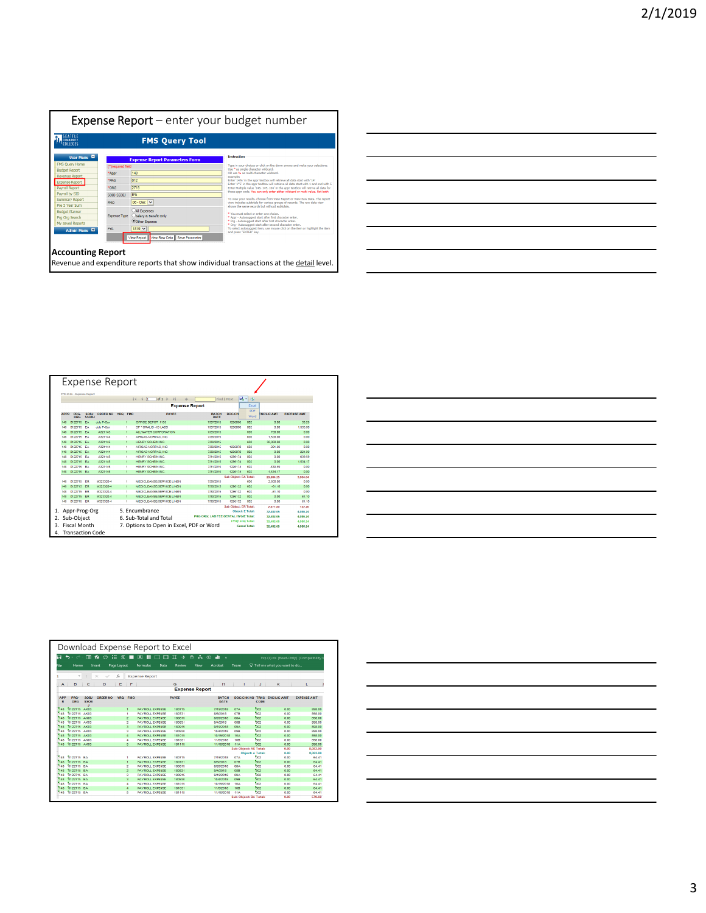

| <u> 1989 - Johann Barbara, martin da basar da basar da basar da basar da basar da basar da basar da basar da basa</u>  |  |  |
|------------------------------------------------------------------------------------------------------------------------|--|--|
|                                                                                                                        |  |  |
| <u> 2000 - Andrea Andrew Amerikaanse kommunister († 1952)</u>                                                          |  |  |
|                                                                                                                        |  |  |
| <u> 2002 - Jan Barbara de San Barbara de San Barbara de San Barbara de San Barbara de San Barbara de San Barbara d</u> |  |  |
|                                                                                                                        |  |  |
| <u> 2000 - Andrea Andrew Maria (h. 1888).</u>                                                                          |  |  |
|                                                                                                                        |  |  |
| <u> 2002 - Jan Barbara de Santo de Santo de Santo de Santo de Santo de Santo de Santo de Santo de Santo de Santo</u>   |  |  |
|                                                                                                                        |  |  |
|                                                                                                                        |  |  |

|                                       |                                                |                             | Expense Report    |            |                |                                                           |                                      |                              |                               |                   |                    |
|---------------------------------------|------------------------------------------------|-----------------------------|-------------------|------------|----------------|-----------------------------------------------------------|--------------------------------------|------------------------------|-------------------------------|-------------------|--------------------|
|                                       | FYR:1516 - Expense Report                      |                             |                   |            |                |                                                           |                                      |                              |                               |                   |                    |
|                                       |                                                |                             |                   |            |                | 14 4 1<br>of $1$ $\geq$<br><b>Dill</b><br>$\triangleleft$ |                                      | Find   Next                  | $\mathbb{R} \cdot \mathbb{C}$ |                   |                    |
| <b>Expense Report</b><br>Excel<br>PDF |                                                |                             |                   |            |                |                                                           |                                      |                              |                               |                   |                    |
| <b>APPR</b>                           | PRG-<br><b>ORG</b>                             | <b>SOBJ</b><br><b>SSOBJ</b> | <b>ORDER NO</b>   | <b>YRQ</b> | <b>FMO</b>     | <b>PAYEE</b>                                              | <b>BATCH</b><br>DATE                 | <b>DOC/CH</b>                | Word                          | <b>ENCAJC AMT</b> | <b>EXPENSE AMT</b> |
| 148                                   | 0122715                                        | EA                          | <b>July P-Car</b> |            |                | OFFICE DEPOT 1135                                         | 7/27/2015                            | 1296096                      | 002                           | 0.00              | 33.29              |
| 145                                   | 0122715                                        | PA                          | <b>July P-Car</b> |            | ×              | SP * ORALID - ID LARS                                     | 7/27/2015                            | 1296095                      | nno                           | n <sub>m</sub>    | 1,535.00           |
| 148                                   | 0122715                                        | FA                          | A321143           |            | $\mathbf{I}$   | ALLWATER CORPORATION                                      | 7/28/2015                            |                              | 600                           | 700.00            | 0.00               |
| 148                                   | 0122715 EA                                     |                             | A321144           |            | ٠              | AIRGAS-NORPAC, INC.                                       | 7/28/2015                            |                              | 600                           | 1,500.00          | 0.00               |
| 148                                   | 0122715                                        | EA                          | A321145           |            | $\mathbf{1}$   | <b>HENRY SCHEIN INC.</b>                                  | 7/28/2015                            |                              | 600                           | 30,000.00         | 0.00               |
| 148                                   | 0122715                                        | <b>FA</b>                   | A321144           |            | л              | AIRGAS-NORPAC INC.                                        | 7/29/2015                            | 1296070                      | 602                           | $-221.99$         | 0.00               |
| 148                                   | 0122715                                        | FA.                         | A321144           |            | $\mathbf{1}$   | AIRGAS-NORPAC, INC.                                       | 7/29/2015                            | 1296070                      | 002                           | 0.00              | 221.99             |
| 148                                   | 0122715 EA                                     |                             | A321145           |            | $\overline{1}$ | HENRY SCHEIN INC                                          | 7/31/2015                            | 1296174                      | 002                           | 0.00              | 639.59             |
| 148                                   | 0122715 EA                                     |                             | A321145           |            | h,             | HENRY SCHEIN INC.                                         | 7/31/2015                            | 1296174                      | 002                           | 0.00              | 1.534.17           |
| 148                                   | 0122715 EA                                     |                             | A321145           |            | ٠              | HENRY SCHEIN INC.                                         | 7/31/2015                            | 1296174                      | 602                           | -639.59           | 0.00               |
| 148                                   | 0122715 EA                                     |                             | A321145           |            | 4              | HENRY SCHEIN INC.                                         | 7/31/2015                            | 1296174                      | 602                           | $-1.534.17$       | 0.00               |
|                                       |                                                |                             |                   |            |                |                                                           |                                      | <b>Sub Object: EA Total:</b> |                               | 29.804.25         | 3,964.04           |
| 148                                   | 0122715 ER                                     |                             | <b>M323320.4</b>  |            | ٠              | MEDICI FANSE/SERVICE LINEN                                | 7/28/2015                            |                              | 600                           | 2800.00           | 0.00               |
| 148                                   | 0122715                                        | ER                          | M323320-4         |            | ×              | MEDICLEANSE/SERVICE LINEN                                 | 7/30/2015                            | 1296132                      | 602                           | $-81.10$          | 0.00               |
| 148                                   | 0122715                                        | ER                          | M323320-4         |            | ٠              | MEDICLEANSE/SERVICE LINEN                                 | 7/30/2015                            | 1296132                      | 602                           | $-81.10$          | 0.00               |
| 145                                   | 0122715                                        | ER                          | M323320-4         |            | $\overline{1}$ | MEDICLEANSE/SERVICE LINEN                                 | 7/30/2015                            | 1296132                      | 002                           | 0.00              | 61.10              |
| 148                                   | 0122715 ER                                     |                             | <b>M323320.4</b>  |            | и              | MEDICI FANSE/SERVICE LINEN                                | 7/30/2015                            | 1296132                      | nnz                           | n <sub>m</sub>    | 61.10              |
|                                       |                                                |                             |                   |            |                |                                                           |                                      | Sub Object: ER Total:        |                               | 2,677.80          | 122.20             |
|                                       | Appr-Prog-Org                                  |                             |                   |            |                | 5. Encumbrance                                            |                                      |                              | <b>Object: E Total:</b>       | 32,482.05         | 4.086,24           |
|                                       | Sub-Object                                     |                             |                   |            |                | 6. Sub-Total and Total                                    | PRG ORG: LAB FEE-DENTAL HYGIE Total: |                              |                               | 32,482.05         | 4.086.24           |
|                                       |                                                |                             |                   |            |                |                                                           |                                      | FYR(1516) Total:             | 32.482.05                     | 4.086.24          |                    |
| 4.                                    | <b>Fiscal Month</b><br><b>Transaction Code</b> |                             |                   |            |                | 7. Options to Open in Excel, PDF or Word                  | <b>Grand Total:</b>                  | 32,482.05                    | 4,086.24                      |                   |                    |

| <u> 1989 - Andrea Santa Andrea Andrea Andrea Andrea Andrea Andrea Andrea Andrea Andrea Andrea Andrea Andrea Andr</u> |  |  |  |
|----------------------------------------------------------------------------------------------------------------------|--|--|--|
|                                                                                                                      |  |  |  |
|                                                                                                                      |  |  |  |
|                                                                                                                      |  |  |  |
|                                                                                                                      |  |  |  |

|                              |                          |                           |          |                         |            | Download Expense Report to Excel |      |                    |                       |   |                      |                                            |                               |                     |                                         |                    |       |
|------------------------------|--------------------------|---------------------------|----------|-------------------------|------------|----------------------------------|------|--------------------|-----------------------|---|----------------------|--------------------------------------------|-------------------------------|---------------------|-----------------------------------------|--------------------|-------|
| Ĥ                            | $\leftrightarrow$        | 画<br>橋                    | $\circ$  | 333<br>$\pi$            |            | 区<br>冊                           |      | 耳<br>$\rightarrow$ | A<br>$\epsilon$       | œ | di.<br>×             |                                            |                               |                     | Exp (1) xls [Read-Only] [Compatibility] |                    |       |
| File                         | Home                     | Insert                    |          | Page Layout             |            | <b>Formulas</b>                  | Data | Review             | View                  |   | Acrobat              | Team                                       |                               |                     | $\Omega$ Tell me what you want to do    |                    |       |
|                              | ٠                        | $\times$                  |          | £.                      |            | <b>Expense Report</b>            |      |                    |                       |   |                      |                                            |                               |                     |                                         |                    |       |
|                              |                          |                           |          | E                       |            |                                  |      |                    |                       |   |                      |                                            |                               |                     | ĸ                                       |                    |       |
| A                            | в                        | c                         | D        |                         | F          |                                  |      | G                  | <b>Expense Report</b> |   | н                    |                                            |                               | J                   |                                         | ı                  |       |
|                              |                          |                           |          |                         |            |                                  |      |                    |                       |   |                      |                                            |                               |                     |                                         |                    |       |
| <b>APP</b><br>$\overline{R}$ | PRG.<br>ORG              | SOBI<br><b>SSOB</b><br>a. | ORDER NO | <b>YRO</b>              | <b>FMO</b> |                                  |      | <b>PAYEE</b>       |                       |   | <b>RATCH</b><br>DATE | DOC/CHK NO                                 |                               | <b>TRNS</b><br>CODE | <b>FRCA IC AMT</b>                      | <b>EXPENSE AMT</b> |       |
| 148                          | 0122715 AK03             |                           |          | $\overline{1}$          |            | <b>PAYROLL EXPENSE</b>           |      | 180715             |                       |   | 7/19/2018            | 07A                                        | 002                           |                     | 0.00                                    | 898.00             |       |
| <b>Tran</b>                  | 0122715                  | <b>AK03</b>               |          | 4                       |            | <b>PAYROLL EXPENSE</b>           |      | 180731             |                       |   | <b>BAR/2018</b>      | OZR                                        | ho <sub>2</sub>               |                     | 0.00                                    | <b>RAR OO</b>      |       |
| 148                          | 0122715 AK03             |                           |          | $\overline{z}$          |            | <b>PAYROLL EXPENSE</b>           |      | 180815             |                       |   | <b>B/20/2018</b>     | ORA                                        | 002                           |                     | 0.00                                    | <b>BRA 00</b>      |       |
| 148                          | 0122715 AK03             |                           |          | $\overline{2}$          |            | <b>PAYROLL EXPENSE</b>           |      | 180831             |                       |   | 9/4/2018             | OSB                                        | Tanz.                         |                     | 0.00                                    | 898.00             |       |
| 148                          | 0122715 AK03             |                           |          | 3                       |            | <b>PAYROLL EXPENSE</b>           |      | 180915             |                       |   | 9/19/2018            | <b>ORA</b>                                 | no <sub>2</sub>               |                     | 0.00                                    | 898.00             |       |
| 148                          | 0122715 AK03             |                           |          | 3                       |            | <b>PAYROLL EXPENSE</b>           |      | 180930             |                       |   | 10/4/2018            | OSR                                        | 802                           |                     | 0.00                                    | 898.00             |       |
| 148                          | 0122715 AK03             |                           |          | 4                       |            | <b>PAYROLL EXPENSE</b>           |      | 181015             |                       |   | 10/19/2018           | 10A                                        | 002                           |                     | 0.00                                    | 898.00             |       |
| 748                          | 0122715 AK03             |                           |          | 4                       |            | <b>PAYROLL EXPENSE</b>           |      | 181031             |                       |   | 11/5/2018            | 10B                                        | 802                           |                     | 0.00                                    | 898.00             |       |
| 148                          | 0122715 AK03             |                           |          | s.                      |            | <b>PAYROLL EXPENSE</b>           |      | 181115             |                       |   | 11/16/2018           | 114                                        | 002                           |                     | 0.00                                    | <b>RRA OO</b>      |       |
|                              |                          |                           |          |                         |            |                                  |      |                    |                       |   |                      | <b>Sub Object: AK Total:</b>               |                               |                     | 0.00                                    | 8.082.00           |       |
|                              |                          |                           |          |                         |            |                                  |      |                    |                       |   |                      |                                            | <b>Object: A Total:</b>       |                     | 0.00                                    | 8.082.00           |       |
| 148                          | 0122715 BA               |                           |          | ٠                       |            | <b>PAYROLL EXPENSE</b>           |      | 180715             |                       |   | 7/19/2018            | 074                                        | <b>DO2</b>                    |                     | 0.00                                    |                    | 64.41 |
| 148                          | 0122715 BA               |                           |          | H.                      |            | <b>PAYROLL EXPENSE</b>           |      | 180731             |                       |   | 8/6/2018             | <b>07B</b>                                 | 802                           |                     | 0.00                                    |                    | 64.41 |
| 148                          | 0122715 BA               |                           |          | $\overline{\mathbf{2}}$ |            | <b>PAYROLL EXPENSE</b>           |      | 180815             |                       |   | 8/20/2018            | <b>08A</b>                                 | 002                           |                     | 0.00                                    |                    | 64.41 |
| 148                          | 0122715 BA               |                           |          | $\overline{a}$          |            | <b>PAYROLL EXPENSE</b>           |      | 180831             |                       |   | 9/4/2018             | 088                                        | 802<br>002                    |                     | 0.00                                    |                    | 84.41 |
| 148                          | 0122715 BA               |                           |          | з                       |            | <b>PAYROLL EXPENSE</b>           |      | 180915             |                       |   | 9/19/2018            | 09A                                        |                               |                     | 0.00                                    |                    | 64.41 |
| 148                          | 0122715 BA<br>0122715 RA |                           |          | $\overline{\mathbf{3}}$ |            | <b>PAYROLL EXPENSE</b>           |      | 180930             |                       |   | 10/4/2018            | <b>DRR</b>                                 | no <sub>2</sub><br><b>DO2</b> |                     | 0.00                                    |                    | 64.41 |
| 148                          |                          |                           |          | A                       |            | <b>PAYROLL EXPENSE</b>           |      | 181015             |                       |   | 10/19/2018           | 104                                        | ROZ                           |                     | 0.00                                    |                    | 64.41 |
| 148<br>148                   | 0122715 BA<br>0122715 BA |                           |          | 4                       |            | <b>PAYROLL EXPENSE</b>           |      | 181031             |                       |   | 11/5/2018            | 10B                                        | <b>DO2</b>                    |                     | 0.00<br>0.00                            |                    | 64.41 |
|                              |                          |                           |          | s                       |            | <b>PAYROLL EXPENSE</b>           |      | 181115             |                       |   | 11/16/2018           | <b>11A</b><br><b>Sub Object: BA Total:</b> |                               |                     | 0.00                                    | 579.69             | 64.41 |

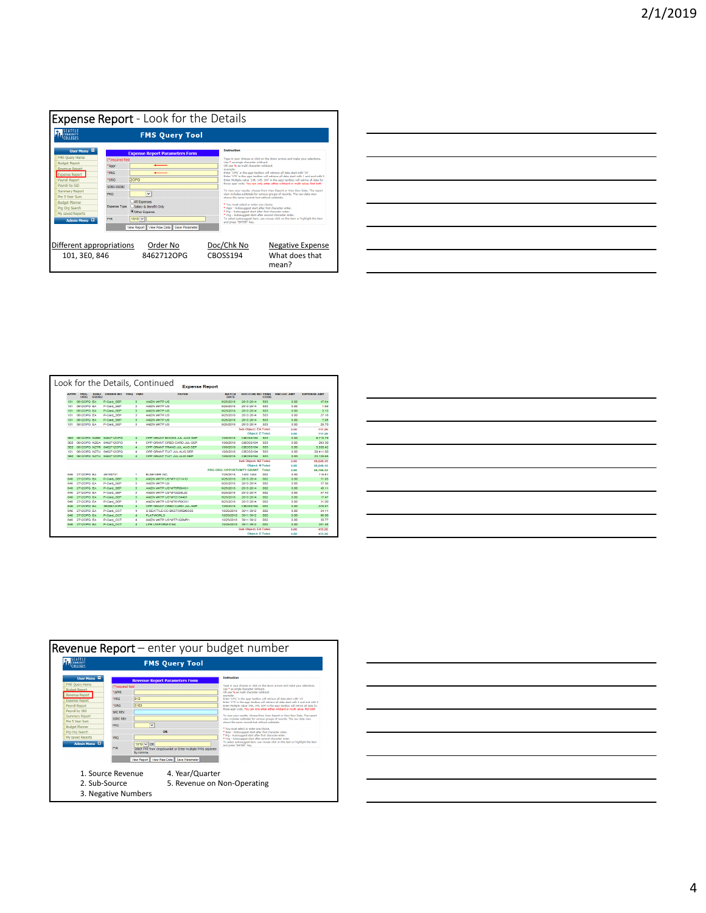

| <u> 1989 - Andrea Andrew Maria (h. 1989).</u>                                                                        |  |  |
|----------------------------------------------------------------------------------------------------------------------|--|--|
|                                                                                                                      |  |  |
| <u> 1989 - Andrea Santa Andrea Andrea Andrea Andrea Andrea Andrea Andrea Andrea Andrea Andrea Andrea Andrea Andr</u> |  |  |
|                                                                                                                      |  |  |
| <u> 1989 - Andrea Santa Andrea Santa Andrea Santa Andrea Santa Andrea Santa Andrea Santa Andrea Santa Andrea San</u> |  |  |
|                                                                                                                      |  |  |
| <u> 1989 - Johann Stoff, amerikansk politiker (d. 1989)</u>                                                          |  |  |
|                                                                                                                      |  |  |

|             |              |                      | Look for the Details. Continued |                         |                             | <b>Expense Report</b> |                            |                                                                                                                                                                                                                                                  |                 |                    |                    |
|-------------|--------------|----------------------|---------------------------------|-------------------------|-----------------------------|-----------------------|----------------------------|--------------------------------------------------------------------------------------------------------------------------------------------------------------------------------------------------------------------------------------------------|-----------------|--------------------|--------------------|
| <b>APPR</b> | PRG-<br>ORG  | SOBJ<br><b>SSOBJ</b> | <b>ORDER NO</b><br><b>YRO</b>   | <b>FMO</b>              |                             | <b>PAYEE</b>          | <b>BATCH</b><br>DATE       | <b>DOC/CHK NO TRNS</b>                                                                                                                                                                                                                           | CODE            | <b>ENC/LIC AMT</b> | <b>EXPENSE AMT</b> |
| 101         | 0612OPG EA   |                      | P-Card SEP                      | 3                       | AMZN MICTP US               |                       | 9/25/2018                  | 2813 2814                                                                                                                                                                                                                                        | 603             | 0.00               | 47.64              |
| 101         | 06120PG EA   |                      | P-Card SEP                      | з                       | AMZN MKTP US                |                       | 9/25/2018                  | 2813 2814                                                                                                                                                                                                                                        | 503             | n oo               | 1.66               |
| 101         | 05120PG EA   |                      | P-Card SEP                      | $\overline{\mathbf{a}}$ | AMZN MICTP US               |                       | 9/25/2018                  | 2813-2814                                                                                                                                                                                                                                        | 503             | 0.00               | 3.13               |
| 101         | 0612OPG EA   |                      | P-Card SEP                      | 3                       | AMZN MKTP US                |                       | 9/25/2018                  | 2813 2814                                                                                                                                                                                                                                        | sna             | 0.00               | 27.18              |
| 101         | 0612OPG EA   |                      | P-Card SEP                      | $\overline{\mathbf{3}}$ | AMZN MKTP US                |                       | 9/25/2018                  | 2813 2814                                                                                                                                                                                                                                        | 503             | 0.00               | 7.95               |
| 101         | 06120PG EA   |                      | <b>P-Card SEP</b>               | з                       | <b>AMZN MKTP US</b>         |                       | 9/25/2018                  | 2813 2814                                                                                                                                                                                                                                        | 503             | 0.00               | 29.70              |
|             |              |                      |                                 |                         |                             |                       |                            | <b>Sub Object: EA Total:</b>                                                                                                                                                                                                                     |                 | 0.00               | 117.26             |
|             |              |                      |                                 |                         |                             |                       |                            | <b>Object: E Total:</b>                                                                                                                                                                                                                          |                 | 0.00               | 117.26             |
| 380         | 06120PG NZBK |                      | 5462712OPG                      | $\overline{A}$          | OPP GRANT BOOKS JUL AUG SEP |                       | 10/5/2015                  | CBOSS194                                                                                                                                                                                                                                         | 503             | 0.00               | 9,715.79           |
| seo         | 06120PG NZEA |                      | 8462712OPG                      | ٠                       | OPP GRANT CRED CARD JUL-SEP |                       | 10/5/2018                  | <b>CBOSS194</b>                                                                                                                                                                                                                                  | 503             | 0.00               | 263.30             |
| 3FD         | 06120PG NZTR |                      | <b>R462712OPG</b>               | $\overline{a}$          | OPP GRANT TRANS JUL AUG SEP |                       | 10/8/2018                  | CROSS194                                                                                                                                                                                                                                         | sna             | 0.00               | 3.530.42           |
| 101         | 0612OPG NZTU |                      | 8462712OPG                      | $\overline{4}$          | OPP GRANT TUIT JUL AUG SEP  |                       | 10/8/2018                  | CBOSS194                                                                                                                                                                                                                                         | 503             | 0.00               | 29.411.00          |
| 3FD         |              |                      | 06120PG NZTU 84627120PG         | $\overline{4}$          | OPP GRANT TUIT JUL AUG SEP  |                       | 10/02018                   | CRO55194                                                                                                                                                                                                                                         | 503             | 0.00               | 23.128.65          |
|             |              |                      |                                 |                         |                             |                       |                            | Sub Object: NZ Total:                                                                                                                                                                                                                            |                 | 0.00               | 66,049.16          |
|             |              |                      |                                 |                         |                             |                       |                            | <b>Object: N Total:</b>                                                                                                                                                                                                                          |                 | 0.00               | 66.049.16          |
|             |              |                      |                                 |                         |                             |                       | PRG ORG: OPPORTUNITY GRANT |                                                                                                                                                                                                                                                  | Total:          | 0.00               | 66,166,42          |
| <b>R46</b>  | 2712OPG EA   |                      | 49180731                        | ٠                       | <b>FLSEVIER INC.</b>        |                       | <b>7/25/2018</b>           | 1483 1484                                                                                                                                                                                                                                        | 002             | 0.00               | 115.61             |
| 846         | 27120PG EA   |                      | P-Card SEP                      | 3                       | AMZN MKTP US*MT1211A10      |                       | 9/25/2018                  | 2813 2814                                                                                                                                                                                                                                        | 002             | 0.00               | 71.93              |
| 846         | 27120PG EA   |                      | P-Card SEP                      | х                       | AMZN MKTP US                |                       | 9/25/2015                  | 2813 2814                                                                                                                                                                                                                                        | ooz             | 0.00               | 37.36              |
| 846         | 27120PG EA   |                      | P-Card SEP                      | з                       | AMZN MKTP US*MT5R094G1      |                       | 9/25/2018                  | 2813 2814                                                                                                                                                                                                                                        | 002             | 0.00               | 48.11              |
| 846         | 27120PG FA   |                      | P-Card SEP                      | а                       | AMZN MICTP US/MT2229L72     |                       | <b>BIZKIZD18</b>           | 2813.2814                                                                                                                                                                                                                                        | nn <sub>2</sub> | 0.00               | 57.43              |
| 846         | 27120PG EA   |                      | P-Card SEP                      | з                       | AMZN MKTP US*MT2Y34401      |                       | 9/25/2018                  | 2813 2814                                                                                                                                                                                                                                        | 002             | n <sub>n</sub>     | 17.47              |
| 846         | 27120PG EA   |                      | P-Card SEP                      | ж                       | AMZN MKTP US/MT61R9OS1      |                       | 9/25/2018                  | 2813 2814                                                                                                                                                                                                                                        | ooz             | 0.00               | 31.00              |
| 846         | 27120PG EA   |                      | 3E00612OPG                      | $\overline{4}$          | OPP GRANT CRED CARD JUL-SEP |                       | 10/8/2018                  | CBOSS194                                                                                                                                                                                                                                         | 002             | 0.00               | $-378.91$          |
| 846         | 27120PG FA   |                      | P-Card OCT                      | A.                      | SURFATTI FLOCURKSTORF#2330  |                       | 10/25/2018                 | 3911.3912                                                                                                                                                                                                                                        | nno             | 0.00               | 54.11              |
| 846         | 27120PG EA   |                      | P-Card OCT                      | $\ddot{ }$              | <b>FLATWORLD</b>            |                       | 10/25/2018                 | 3911 3912                                                                                                                                                                                                                                        | 002             | 0.00               | 98.90              |
| <b>R46</b>  | 27120PG EA   |                      | P-Card OCT                      | 4                       | AMZN MKTP US*MT7VQ0MR1      |                       | 10/25/2018                 | 3911 3912                                                                                                                                                                                                                                        | 002             | 0.00               | 30.77              |
| 846         | 27120PG EA   |                      | P-Card OCT                      | $\overline{4}$          | LIFE UNIFORM 0164           |                       | 10/25/2018                 | 3911 3912                                                                                                                                                                                                                                        | 002             | 0.00               | 251.48             |
|             |              |                      |                                 |                         |                             |                       |                            | <b>Sub Object: EA Total:</b>                                                                                                                                                                                                                     |                 | 0.00               | 433.26             |
|             |              |                      |                                 |                         |                             |                       |                            | <b><i><u>Property Contract Contract Contract Contract Contract Contract Contract Contract Contract Contract Contract Contract Contract Contract Contract Contract Contract Contract Contract Contract Contract Contract Contract Con</u></i></b> |                 | .                  | -----              |



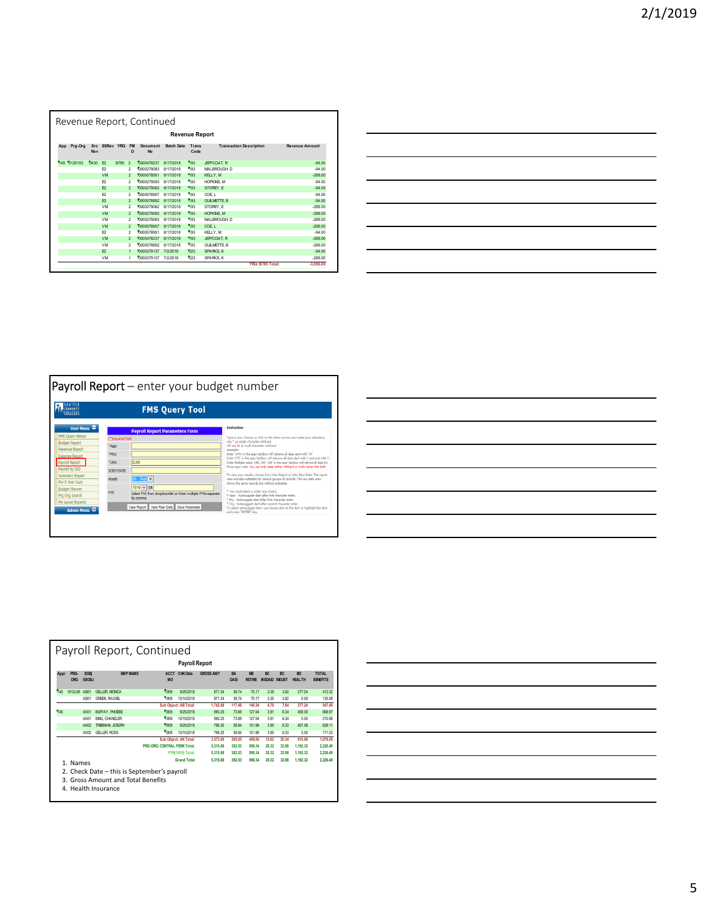|     |                                               |      |                |            |                | Revenue Report, Continued |                   |            |                    |             |  |  |  |  |
|-----|-----------------------------------------------|------|----------------|------------|----------------|---------------------------|-------------------|------------|--------------------|-------------|--|--|--|--|
|     | <b>Revenue Report</b>                         |      |                |            |                |                           |                   |            |                    |             |  |  |  |  |
| App | <b>Revenue Amount</b>                         |      |                |            |                |                           |                   |            |                    |             |  |  |  |  |
|     | 148 0125103                                   | 0430 | F2             | B785       | $\mathfrak{p}$ | 0000478237                | 8/17/2018         | 793        | JEFFCOAT, R        | $-94.00$    |  |  |  |  |
|     |                                               |      | F <sub>2</sub> |            | $\mathfrak{p}$ | 0000279083                | 8/17/2018         | 793        | MALBROUGH, D       | $-94.00$    |  |  |  |  |
|     |                                               |      | <b>VM</b>      |            | $\mathfrak{p}$ | 1000578951                | 8/17/2018         | <b>793</b> | KELY.M             | $-288.00$   |  |  |  |  |
|     | $\overline{2}$<br>F <sub>2</sub>              |      |                | 0000279093 | 8/17/2018      | 793                       | <b>HOPKINS, M</b> | $-94.00$   |                    |             |  |  |  |  |
|     | 0000279062<br>F <sub>2</sub><br>$\mathcal{P}$ |      |                |            | 8/17/2018      | 793                       | STOREY. E         | $-94.00$   |                    |             |  |  |  |  |
|     |                                               |      | F <sub>2</sub> |            | $\overline{2}$ | 0000578907                | 8/17/2018         | 593        | COE L              | $-94.00$    |  |  |  |  |
|     |                                               |      | F <sub>2</sub> |            | $\mathfrak{p}$ | 0000578892                | 8/17/2018         | 793        | <b>GUILMETTE B</b> | $-94.00$    |  |  |  |  |
|     |                                               |      | VM             |            | $\mathfrak{p}$ | 0000279062                | 8/17/2018         | 193        | STOREY. E          | $-288.00$   |  |  |  |  |
|     |                                               |      | <b>VM</b>      |            | $\mathfrak{p}$ | 1000279093                | 8/17/2018         | 593        | <b>HOPKINS, M</b>  | $-288.00$   |  |  |  |  |
|     |                                               |      | <b>VM</b>      |            | $\overline{2}$ | 0000279083                | 8/17/2018         | 193        | MALBROUGH. D       | $-288.00$   |  |  |  |  |
|     |                                               |      | <b>VM</b>      |            | $\mathfrak{p}$ | 0000578907                | 8/17/2018         | 793        | COE L              | $-288.00$   |  |  |  |  |
|     |                                               |      | F <sub>2</sub> |            | $\overline{2}$ | 0000578951                | 8/17/2018         | 593        | KELLY, M           | $-94.00$    |  |  |  |  |
|     |                                               |      | <b>VM</b>      |            | $\mathcal{P}$  | 0000478237                | 8/17/2018         | 793        | JEFFCOAT, R        | $-288.00$   |  |  |  |  |
|     |                                               |      | VM             |            | $\mathfrak{p}$ | 0000578892                | 8/17/2018         | 793        | <b>GUILMETTE B</b> | $-288.00$   |  |  |  |  |
|     |                                               |      | F <sub>2</sub> |            | 1              | 1000379137                | 7/2/2018          | 023        | SPARKS, K          | $-94.00$    |  |  |  |  |
|     |                                               |      | <b>VM</b>      |            | 1              | 0000379137                | 7/2/2018          | 023        | SPARKS. K          | $-288.00$   |  |  |  |  |
|     |                                               |      |                |            |                |                           |                   |            | YRQ: B785 Total:   | $-3.056.00$ |  |  |  |  |

| the control of the control of the control of the control of the control of the control of the control of the control of the control of the control of the control of the control of the control of the control of the control |  |                                   |
|-------------------------------------------------------------------------------------------------------------------------------------------------------------------------------------------------------------------------------|--|-----------------------------------|
|                                                                                                                                                                                                                               |  |                                   |
|                                                                                                                                                                                                                               |  |                                   |
|                                                                                                                                                                                                                               |  | the control of the control of the |
|                                                                                                                                                                                                                               |  |                                   |
|                                                                                                                                                                                                                               |  |                                   |
|                                                                                                                                                                                                                               |  |                                   |



| <u>. Kanada ay kalendar ara-daharanjarahasin'ilay kaominina dia 42 metatra. Ny fisiana ara-daharampehintany ary </u> |  |  |
|----------------------------------------------------------------------------------------------------------------------|--|--|
|                                                                                                                      |  |  |
|                                                                                                                      |  |  |
|                                                                                                                      |  |  |
|                                                                                                                      |  |  |
|                                                                                                                      |  |  |

|              | Payroll Report, Continued |                             |                                             |                              |                       |                  |                          |                            |                                   |                 |                            |                                 |  |
|--------------|---------------------------|-----------------------------|---------------------------------------------|------------------------------|-----------------------|------------------|--------------------------|----------------------------|-----------------------------------|-----------------|----------------------------|---------------------------------|--|
|              | <b>Payroll Report</b>     |                             |                                             |                              |                       |                  |                          |                            |                                   |                 |                            |                                 |  |
| Appr         | PRG-<br>ORG               | <b>SOBi</b><br><b>SSOBJ</b> | <b>EMP NAME</b>                             | <b>ACCT</b><br><b>MO</b>     | CHK Date              | <b>GROSS AMT</b> | <b>BA</b><br><b>OASI</b> | <b>BB</b><br><b>RETIRE</b> | <b>BC</b><br><b>MEDAID INDUST</b> | BC <sub>1</sub> | <b>BD</b><br><b>HEALTH</b> | <b>TOTAL</b><br><b>BENEFITS</b> |  |
| 145          | 1612L99 AB01              |                             | <b>GELLER MONICA</b>                        | 1809                         | 9/25/2018             | 871 34           | 58 74                    | 70.17                      | 2.35                              | 3.82            | 277 24                     | 412.32                          |  |
|              |                           | AB01                        | <b>GREEN, RACHEL</b>                        | 1809                         | 10/10/2018            | 871 34           | 58 74                    | 70.17                      | 2.35                              | 3.82            | 0.00                       | 135.08                          |  |
|              |                           |                             |                                             |                              | Sub Object: AB Total: | 1.742.68         | 117.48                   | 140.34                     | 4.70                              | 7.64            | 277.24                     | 547.40                          |  |
| 145          |                           | <b>AK01</b>                 | BUFFAY, PHOEBE                              | 1809                         | 9/25/2018             | 990.25           | 73.68                    | 127 04                     | 3.91                              | 6.34            | 458.00                     | 668.97                          |  |
|              |                           | AK01                        | <b>BING, CHANDLER</b>                       | 1809                         | 10/10/2018            | 990 25           | 73.69                    | 127 04                     | 3.91                              | 6.34            | 0.00                       | 210.98                          |  |
|              |                           | AK02                        | TRIBBIANI, JOSEPH                           | <b>F</b> iana                | 9/25/2018             | 796 25           | 58.84                    | 101.96                     | 3.90                              | 6.33            | 457.08                     | 628 11                          |  |
|              |                           | AK02                        | <b>GELLER ROSS</b>                          | 1809                         | 10/10/2018            | 796 25           | 58.84                    | 101 96                     | 3.90                              | 6.33            | 0.00                       | 171.03                          |  |
|              |                           |                             |                                             |                              | Sub Obiect: AK Total: | 3.573.00         | 265.05                   | 458.00                     | 15.62                             | 25.34           | 915.08                     | 1,679.09                        |  |
|              |                           |                             |                                             | PRG-ORG: CENTRAL PERK Total: |                       | 5.315.68         | 382.53                   | 598.34                     | 20.32                             | 32.98           | 1.192.32                   | 2.226.49                        |  |
|              |                           |                             |                                             |                              | FYR(1819) Total:      | 5.315.68         | 382.53                   | 598.34                     | 20.32                             | 32.98           | 1.192.32                   | 2.226.49                        |  |
| $\mathbf{1}$ | <b>Names</b>              |                             |                                             |                              | <b>Grand Total</b>    | 5.315.68         | 382.53                   | 598.34                     | 20.32                             | 32.98           | 1.192.32                   | 2.226.49                        |  |
|              |                           |                             |                                             |                              |                       |                  |                          |                            |                                   |                 |                            |                                 |  |
|              |                           |                             | 2. Check Date – this is September's payroll |                              |                       |                  |                          |                            |                                   |                 |                            |                                 |  |
| 3            |                           |                             | <b>Gross Amount and Total Benefits</b>      |                              |                       |                  |                          |                            |                                   |                 |                            |                                 |  |
|              | Health Insurance<br>4     |                             |                                             |                              |                       |                  |                          |                            |                                   |                 |                            |                                 |  |

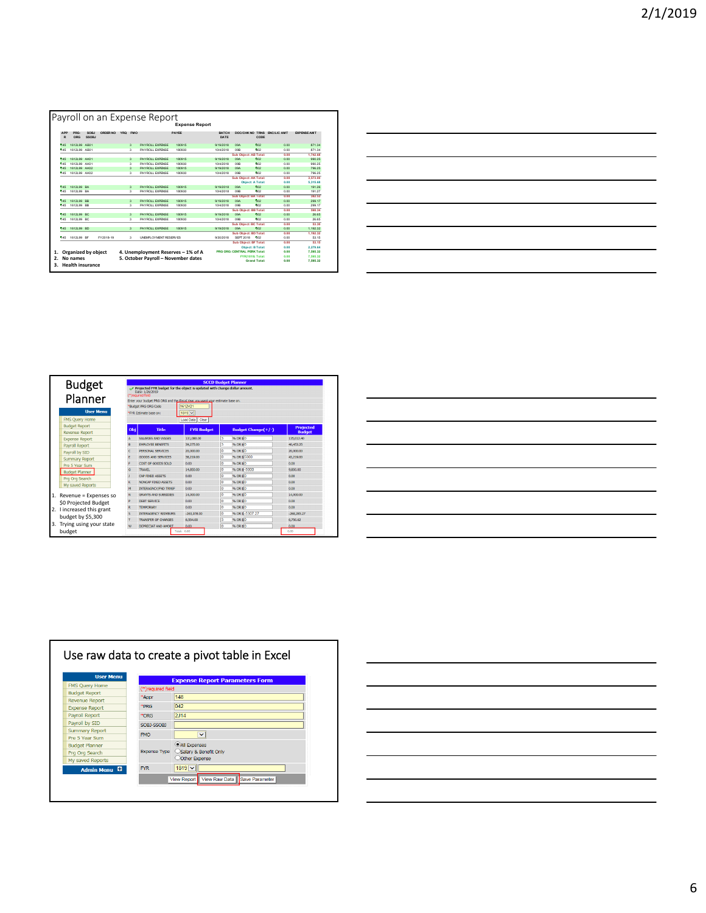|                                                           |              |               |           |                          |                          | <b>Expense Report</b>               |               |                              |                     |                    |                    |
|-----------------------------------------------------------|--------------|---------------|-----------|--------------------------|--------------------------|-------------------------------------|---------------|------------------------------|---------------------|--------------------|--------------------|
| <b>APP</b><br>R                                           | PRG-<br>ORG  | SOBI<br>SSOBJ | ORDER NO  | <b>YRQ</b><br><b>FMO</b> |                          | PAYEE                               | BATCH<br>DATE | DOC/CHK NO TRNS              | CODE                | <b>ENC/LIC AMT</b> | <b>EXPENSE AMT</b> |
| 145                                                       | 1612L99 AB01 |               |           | 3                        | <b>PAYROLL EXPENSE</b>   | 180915                              | 9/19/2018     | non                          | Time <sub>2</sub>   | 0.00               | 871.34             |
| 145                                                       | 1612L99 AB01 |               |           | $\overline{3}$           | <b>PAYROLL EXPENSE</b>   | 180930                              | 10/4/2018     | non.                         | <b>Box</b>          | 0.00               | 871.34             |
|                                                           |              |               |           |                          |                          |                                     |               | Sub Oblect: AB Total:        |                     | 0.00               | 1.742.68           |
| 145                                                       | 1612L99 AK01 |               |           | $\overline{3}$           | <b>PAYROLL EXPENSE</b>   | 180915                              | 9/19/2018     | 09A                          | <b>boz</b>          | 0.00               | 990.25             |
| 545                                                       | 1612L99 AK01 |               |           | $\overline{\mathbf{a}}$  | <b>PAYROLL EXPENSE</b>   | 180930                              | 10/4/2018     | non.                         | <b>Box</b>          | 0.00               | 990.25             |
| 145                                                       | 1612L99 AK02 |               |           | $\overline{3}$           | <b>PAYROLL EXPENSE</b>   | 180915                              | 9/19/2018     | <b>DRA</b>                   | <b>Ting</b>         | 0.00               | 796.25             |
| 145                                                       | 1612L99 AK02 |               |           | $\overline{\mathbf{a}}$  | <b>PAYROLL EXPENSE</b>   | 180930                              | 10/4/2018     | non.                         | <b>Box</b>          | 0.00               | 796.25             |
|                                                           |              |               |           |                          |                          |                                     |               | Sub Object: AK Total:        |                     | 0.00               | 3.573.00           |
|                                                           |              |               |           |                          |                          |                                     |               | Object: A Total:             |                     | 0.00               | 5.315.68           |
| 145                                                       | 1612L99 BA   |               |           | 3                        | <b>PAYROLL EXPENSE</b>   | 180915                              | 9/19/2018     | <b>DRA</b>                   | 002                 | 0.00               | 191.26             |
| 145                                                       | 1612L99 BA   |               |           | 3                        | <b>PAYROLL EXPENSE</b>   | 180930                              | 10/4/2018     | non.                         | <b>Box</b>          | 0.00               | 191.27             |
|                                                           |              |               |           |                          |                          |                                     |               | Sub Object: BA Total:        |                     | 0.00               | 382.53             |
| 145                                                       | 1612199 RR   |               |           | $\overline{3}$           | <b>PAYROLL EXPENSE</b>   | 180915                              | 9/19/2018     | non                          | <b>Finn</b>         | 0.00               | 299.17             |
| 145                                                       | 1612L99 BB   |               |           | $\overline{3}$           | <b>PAYROLL EXPENSE</b>   | 180930                              | 10/4/2018     | non.                         | <b>Box</b>          | 0.00               | 299.17             |
|                                                           |              |               |           |                          |                          |                                     |               | Sub Object: BB Total:        |                     | 0.00               | 598.34             |
| 145                                                       | 1612L99 BC   |               |           | 3                        | <b>PAYROLL EXPENSE</b>   | 180915                              | 9/19/2018     | 09A                          | 602                 | 0.00               | 26.65              |
| 145                                                       | 1612L99 BC   |               |           | 3                        | <b>PAYROLL EXPENSE</b>   | 180930                              | 10/4/2018     | 09B                          | Rev.                | 0.00               | 26.65              |
|                                                           |              |               |           |                          |                          |                                     |               | Sub Object: BC Total:        |                     | 0.00               | 53.30              |
| 145                                                       | 1612199 RD   |               |           | $\overline{\mathbf{a}}$  | <b>PAYROLL EXPENSE</b>   | 180915                              | 9/19/2018     | noa                          | <b>Finn</b>         | 0.00               | 1.192.32           |
|                                                           |              |               |           |                          |                          |                                     |               | Sub Object: BD Total:        |                     | n nn               | 1.192.32           |
| 145                                                       | 1612L99 BF   |               | FY2018-19 | $\mathbf{a}$             | LINEMER OV MENT RESERVES |                                     | 9/30/2018     | SEPT 2018                    | <b>Prop</b>         | 0.00               | 53.15              |
|                                                           |              |               |           |                          |                          |                                     |               | Sub Object: BF Total:        |                     | 0.00               | 53.15              |
|                                                           |              |               |           |                          |                          |                                     |               | <b>Object: B Total:</b>      |                     | 0.00               | 2.279.64           |
| Organized by object<br>4. Unemployment Reserves - 1% of A |              |               |           |                          |                          |                                     |               | PRG ORG: CENTRAL PERK Total: |                     | 0.00               | 7.595.32           |
|                                                           | No names     |               |           |                          |                          | 5. October Payroll - November dates |               | FYR(1819) Total:             |                     | 0.00               | 7.595.32           |
|                                                           |              |               |           |                          |                          |                                     |               |                              | <b>Grand Total:</b> | 0.00               | 7.595.32           |

| <u> 1989 - Johann Harry Harry Harry Harry Harry Harry Harry Harry Harry Harry Harry Harry Harry Harry Harry Harry H</u>                                                                                                             |  |  |
|-------------------------------------------------------------------------------------------------------------------------------------------------------------------------------------------------------------------------------------|--|--|
| the contract of the contract of the contract of the contract of the contract of                                                                                                                                                     |  |  |
| <u>experience</u> and the second contract of the second second contract of the second second second second second second second second second second second second second second second second second second second second second s |  |  |
|                                                                                                                                                                                                                                     |  |  |
|                                                                                                                                                                                                                                     |  |  |

| <b>Budget</b><br>Planner   |     | Projected FYR budget for the object is updated with change dollar amount.<br>Date: 1/26/2019<br>(")required field<br>Enter your budget PRG ORG and the Fiscal Year you want your estimate base on.<br>Budget PRG ORG Code | 1612V21            |    | <b>SCCD Budget Planner</b> |                  |  |  |  |  |  |
|----------------------------|-----|---------------------------------------------------------------------------------------------------------------------------------------------------------------------------------------------------------------------------|--------------------|----|----------------------------|------------------|--|--|--|--|--|
| <b>User Menu</b>           |     | $1819 -$<br>'FYR Estimate base on:                                                                                                                                                                                        |                    |    |                            |                  |  |  |  |  |  |
| <b>FMS Ouerv Home</b>      |     |                                                                                                                                                                                                                           | Load Data<br>Clear |    |                            |                  |  |  |  |  |  |
| <b>Budget Report</b>       | Obj | <b>Title</b>                                                                                                                                                                                                              | <b>FYR Budget</b>  |    | <b>Budget Change(+/-)</b>  | <b>Projected</b> |  |  |  |  |  |
| <b>Revenue Report</b>      |     |                                                                                                                                                                                                                           |                    |    |                            | <b>Budget</b>    |  |  |  |  |  |
| <b>Expense Report</b>      |     | SALARIES AND WAGES                                                                                                                                                                                                        | 131,080,00         | l3 | % OR \$ 0                  | 135.012.40       |  |  |  |  |  |
| <b>Pavroll Report</b>      | B   | <b>EMPLOYEE RENEETTS</b>                                                                                                                                                                                                  | 39,275.00          | 3  | 96 OR \$10                 | 40,453.25        |  |  |  |  |  |
| Payroll by SID             | c   | PERSONAL SERVICES                                                                                                                                                                                                         | 20,000,00          | lo | <b>% OR \$0</b>            | 20,000,00        |  |  |  |  |  |
| <b>Summary Report</b>      | E   | GOODS AND SERVICES.                                                                                                                                                                                                       | 38,219,00          | o  | % OR \$5000                | 43,219.00        |  |  |  |  |  |
| Pre 5 Year Sum             | F   | COST OF GOODS SOLD.                                                                                                                                                                                                       | 0.00               | lo | % OR \$0                   | 0.00             |  |  |  |  |  |
| <b>Budget Planner</b>      | G   | <b>TRAVEL</b>                                                                                                                                                                                                             | 14,850.00          | lo | % OR \$ -5000              | 9,850.00         |  |  |  |  |  |
| Pra Ora Search             |     | CAP FIXED ASSETS                                                                                                                                                                                                          | 0.00               | lo | % OR \$ 0                  | 0.00             |  |  |  |  |  |
|                            | ĸ   | <b>NONCAP FIXED ASSETS</b>                                                                                                                                                                                                | 0.00               | o  | <b>% OR \$0</b>            | 0.00             |  |  |  |  |  |
| My saved Reports           | м   | INTERAGNCY/FND TRNSF                                                                                                                                                                                                      | 0.00               | lo | % OR \$ 0                  | 0.00             |  |  |  |  |  |
| 1. Revenue = Expenses so   | N   | GRANTS AND SUBSIDIES.                                                                                                                                                                                                     | 14,000.00          | lo | <b>% OR \$0</b>            | 14,000.00        |  |  |  |  |  |
| \$0 Projected Budget       | p   | <b>DEBT SERVICE</b>                                                                                                                                                                                                       | 0.00               | lo | % OR \$0                   | 0.00             |  |  |  |  |  |
|                            | R   | <b>TEMPORARY</b>                                                                                                                                                                                                          | 0.00               | lo | % OR \$0                   | 0.00             |  |  |  |  |  |
| 2. I increased this grant  | s   | <b>INTERAGENCY REIMBURS</b>                                                                                                                                                                                               | $-263,978,00$      | Го | % OR \$-5307.27            | $-269,285.27$    |  |  |  |  |  |
| budget by \$5,300          |     | <b>TRANSFER OF CHARGES</b>                                                                                                                                                                                                | 6,554.00           | 13 | % OR \$0                   | 6,750.62         |  |  |  |  |  |
| 3. Trying using your state | w   | DEPRECIAT AND AMORT                                                                                                                                                                                                       | 0.00               | Го | 96 OR \$10                 | 0.00             |  |  |  |  |  |
| budget                     |     |                                                                                                                                                                                                                           | Total: 0.00        |    |                            | 0.00             |  |  |  |  |  |

| the control of the control of the                           |  |                          |
|-------------------------------------------------------------|--|--------------------------|
|                                                             |  |                          |
|                                                             |  |                          |
|                                                             |  |                          |
| <u> 1989 - Johann Stoff, amerikansk politiker (d. 1989)</u> |  |                          |
|                                                             |  |                          |
|                                                             |  |                          |
|                                                             |  |                          |
|                                                             |  |                          |
|                                                             |  |                          |
|                                                             |  | $\overline{\phantom{a}}$ |
|                                                             |  |                          |
| the control of the control of the control of                |  |                          |
|                                                             |  |                          |



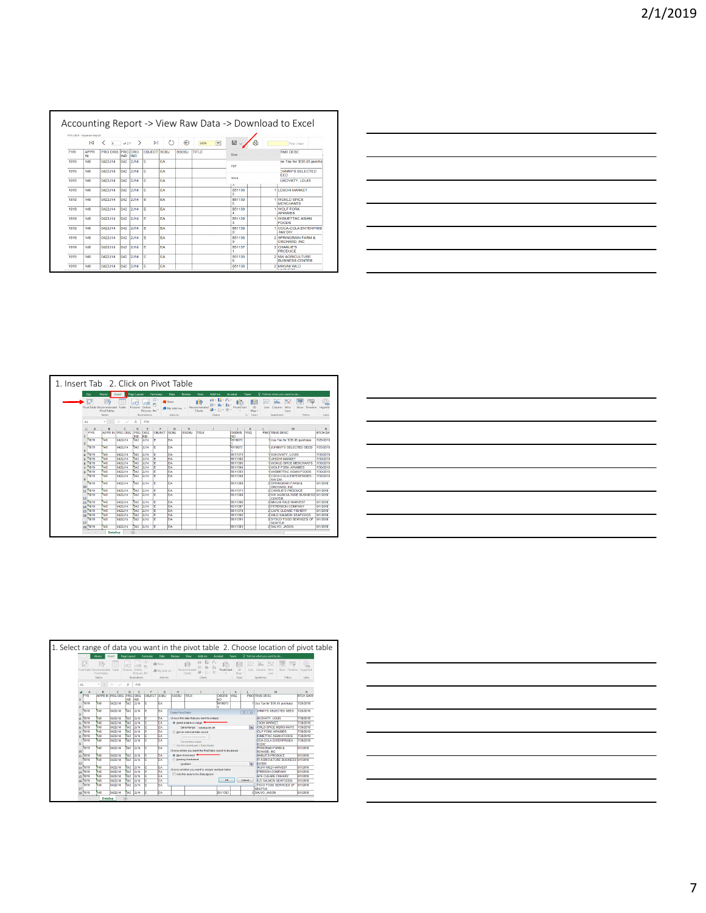|            | PYR:1819 - Expertes Report |                        |            |               |             |           |              |                                 |                    |                                            |
|------------|----------------------------|------------------------|------------|---------------|-------------|-----------|--------------|---------------------------------|--------------------|--------------------------------------------|
|            | ю                          | <b>A</b>               | of $2.7$   | $\rightarrow$ | ы           | О         | ⊝            | $\overline{\mathbf{v}}$<br>100% | ఊ<br>$\boxdot$     | Find I Next                                |
| <b>FYR</b> | <b>APPR</b><br>IN          | <b>PRG ORG PRG ORG</b> | <b>IND</b> | IND           | OBJECT SOBJ |           | <b>SSOBJ</b> | TITLE                           | Excel              | RNS DESC                                   |
| 1819       | 148                        | 0422.114               | 042        | 2J14          | F           | <b>FA</b> |              |                                 | PDF                | se Tax for '\$'35.05 purcha                |
| 1819       | 148                        | 0422.114               | 042        | 2J14          | F           | <b>FA</b> |              |                                 |                    | DHNNY'S SELECTED.<br><b>FFD</b>            |
| 1819       | 148                        | 0422.114               | 042        | 2.114         | F           | <b>FA</b> |              |                                 | Word<br>۰          | <b>UKOVATY, LOUIS</b>                      |
| 1819       | 148                        | 0422.114               | 042        | 2.114         | F           | <b>FA</b> |              |                                 | B51138             | <b>1 II ESCHI MARKET</b>                   |
| 1819       | 148                        | 0422.114               | 042        | 2.114         | E           | EA        |              |                                 | B51139             | 1 WORLD SPICE<br><b>MERCHANTS</b>          |
| 1819       | 148                        | 0422J14                | 042        | 2J14          | E           | FΔ        |              |                                 | <b>B51139</b>      | 1 WOLF FORK<br><b>APIARIES</b>             |
| 1819       | 148                        | 0422J14                | 042        | 2J14          | F           | FA        |              |                                 | <b>B51139</b>      | <b>WISMETTAC ASIAN</b><br><b>FOODS</b>     |
| 1819       | 148                        | 0422.114               | 042        | 2.114         | E           | EA        |              |                                 | B51139             | 1 COCA-COLA ENTERPRISE<br>-NW DIV.         |
| 1819       | 1.48                       | 0422J14                | 042        | 2J14          | F           | FΔ        |              |                                 | <b>B51138</b><br>٩ | 2 SPRINGRAIN FARM &<br>ORCHARD, INC.       |
| 1819       | 148                        | 0422-114               | 042        | 2.114         | F           | FA        |              |                                 | <b>B51137</b>      | 2 CHARLIF'S<br><b>PRODUCE</b>              |
| 1819       | 148                        | 0422.114               | 042        | 2J14          | F           | FA        |              |                                 | <b>B51138</b>      | 2 NW AGRICULTURE<br><b>BUSINESS CENTER</b> |
| 1819       | 148                        | 0422J14                | 042        | 2J14          | E           | FA        |              |                                 | B51138             | 2 MIKUNI WILD<br><b><i>ARPAIR</i></b>      |

|                                                            | the control of the control of the control of the control of the control of the control of the control of the control of the control of the control of the control of the control of the control of the control of the control |  |
|------------------------------------------------------------|-------------------------------------------------------------------------------------------------------------------------------------------------------------------------------------------------------------------------------|--|
|                                                            |                                                                                                                                                                                                                               |  |
| <u> 1989 - Johann Stoff, amerikansk politiker (* 1908)</u> |                                                                                                                                                                                                                               |  |
|                                                            |                                                                                                                                                                                                                               |  |
|                                                            |                                                                                                                                                                                                                               |  |
|                                                            |                                                                                                                                                                                                                               |  |

| 1. Insert Tab 2. Click on Pivot Table |                        |                             |                                               |                       |                                         |                  |                                |                              |                                       |               |                 |                                |           |                                                     |                                         |                                 |
|---------------------------------------|------------------------|-----------------------------|-----------------------------------------------|-----------------------|-----------------------------------------|------------------|--------------------------------|------------------------------|---------------------------------------|---------------|-----------------|--------------------------------|-----------|-----------------------------------------------------|-----------------------------------------|---------------------------------|
|                                       | File                   | Home                        | Insert                                        | Page Layout           |                                         | Formulas         | Data                           | Review                       | Yiew                                  | Add-ins       | Acrobat         | Team                           |           | Q Tell me what you want to do                       |                                         |                                 |
|                                       | PivotTable Recommended | i5<br>PivotTables<br>Tables | Table                                         | г<br>Pictures Online  | ÷<br>Pictures @+"<br><b>Hustrations</b> | $-50 -$          | Store<br>My Addrins<br>Add.ins |                              | $\mathbf{R}$<br>Recommended<br>Charts | 山田市<br>Charts | 高<br>PivotChart | Ibd<br>3D<br>Map -<br>ra Texas | ↜<br>Line | m<br>dia.<br>Win/<br>Column<br>Loss<br>Sparklines   | ь.<br>$-1$<br>Sicer Timeline<br>Filters | ŧ.<br>Hyperlin<br>Links         |
|                                       | 41                     |                             | $\mathbf{r}$ : $\times$ $\times$ $\mathbf{r}$ |                       | <b>FYR</b>                              |                  |                                |                              |                                       |               |                 |                                |           |                                                     |                                         |                                 |
|                                       | A<br><b>FYR</b><br>1   | 6                           | ċ<br>APPR IN PRG ORG                          | D<br>PRG<br><b>NO</b> | ORG<br><b>IND</b>                       | F<br>OBJECT SOBJ | G                              | $\mathbf{H}$<br><b>SSOBJ</b> | TITLE                                 |               | ORDER<br>NO     | ĸ<br><b>YRO</b>                |           | M<br><b>FMO TRNS DESC</b>                           |                                         | $\mathbf{N}$<br><b>BTCH DAY</b> |
|                                       | 1819<br>ż              | 148                         | 0422314                                       | 1042                  | 2314                                    | ĪΕ               | EA                             |                              |                                       |               | 4918073         |                                |           | 1 Use Tax for \$35.05 purchase                      |                                         | 7/25/2018                       |
|                                       | 1819<br>R              | 148                         | 0422314                                       | 042                   | 2314                                    | ĪΕ               | FA                             |                              |                                       |               | 4918073         |                                |           | LIOHNYS SELECTED SEED.                              |                                         | 7/25/2018                       |
|                                       | 1819                   | 148                         | 0422.114                                      | 042                   | 2.114                                   |                  | EA                             |                              |                                       |               | 8611373         |                                |           | <b>SUKOVATY LOUIS</b>                               |                                         | 7/30/2018                       |
|                                       | 1819<br>s              | 148                         | 0422.114                                      | 042                   | 2.114                                   | F                | EA                             |                              |                                       |               | B611382         |                                |           | <b>II FSCHLMARKET</b>                               |                                         | 7/30/2018                       |
|                                       | 1819                   | 148                         | 0422.114                                      | 042                   | 2.114                                   | F                | EA                             |                              |                                       |               | B611396         |                                |           | <b>IWORLD SPICE MERCHANTS</b>                       |                                         | 7/30/2018                       |
|                                       | 1819                   | 148                         | 0422.114                                      | 042                   | 2.114                                   | F                | <b>FA</b>                      |                              |                                       |               | B511394         |                                |           | <b>I WOLF FORK APIARIES</b>                         |                                         | 7/30/2018                       |
|                                       | 1819                   | 148                         | 0422.114                                      | 012                   | 2,114                                   | Ē                | EA                             |                              |                                       |               | B511393         |                                |           | <b>WISMETTAC ASIAN FOODS</b>                        |                                         | 7/30/2018                       |
|                                       | 1819                   | 148                         | 0422.114                                      | 042                   | 2,114                                   | E                | FA                             |                              |                                       |               | B511390         |                                |           | COCA-COLA ENTERPRISES -<br>MW DIV                   |                                         | 7/30/2018                       |
|                                       | 1819<br>10             | 148                         | 0422J14                                       | 042                   | 2314                                    | ╔                | FA                             |                              |                                       |               | <b>R611389</b>  |                                |           | 2 SPRINGRAIN FARM &<br>ORCHARD INC.                 |                                         | 8/1/2018                        |
|                                       | 1819<br>11             | 148                         | 0422.114                                      | 042                   | 2.114                                   | F                | FA                             |                              |                                       |               | <b>B511371</b>  |                                |           | 2 CHARLIE'S PROOFICE                                |                                         | 8/1/2018                        |
|                                       | 1819<br>12             | 148                         | 0422314                                       | 042                   | 2314                                    | ĪΕ               | İΕΔ                            |                              |                                       |               | 8511388         |                                |           | 2 MW AGRICULTURE BUSINESS 8/1/2018<br><b>CENTER</b> |                                         |                                 |
|                                       | 1819<br>13             | 148                         | 0422.114                                      | 042                   | 2314                                    |                  | EA                             |                              |                                       |               | <b>B611306</b>  |                                |           | 2 MIKUNI WILD HARVEST                               |                                         | 8/1/2018                        |
|                                       | 1819<br>14             | 148                         | 0422114                                       | 042                   | 2314                                    | Ē                | EA                             |                              |                                       |               | B311387         |                                |           | 2 PETERSON COMPANY                                  |                                         | 8/1/2018                        |
|                                       | 1819<br>15             | 148                         | 0422.114                                      | 042                   | 2.114                                   | E                | EA                             |                              |                                       |               | B511370         |                                |           | 2 CAPE CLEARE EISHERY                               |                                         | 8/1/2018                        |
|                                       | 1819<br>16             | 148                         | 0422J14                                       | 042                   | 2,114                                   | E                | EA                             |                              |                                       |               | B511392         |                                |           | 2 WILD SALMON SEAFOODS                              |                                         | 8/1/2018                        |
|                                       | 1819<br>17             | 148                         | 0422.114                                      | 042                   | 2.114                                   | E                | EA                             |                              |                                       |               | B511391         |                                |           | 2 SYSCO FOOD SERVICES OF<br><b>SEATTLE</b>          |                                         | 8/1/2018                        |
|                                       | 1819<br>18             | 148                         | 0422J14                                       | 042                   | 2J14                                    | ĪΕ               | EA                             |                              |                                       |               | B511383         |                                |           | 2 SALVO, JASON                                      |                                         | 8/1/2018                        |

| <u> 1989 - Andrea Andrew Maria (h. 1989).</u>                                                                         |  |  |  |
|-----------------------------------------------------------------------------------------------------------------------|--|--|--|
| <u> 1989 - Andrea Santa Andrea Andrea Andrea Andrea Andrea Andrea Andrea Andrea Andrea Andrea Andrea Andrea Andr</u>  |  |  |  |
|                                                                                                                       |  |  |  |
|                                                                                                                       |  |  |  |
|                                                                                                                       |  |  |  |
| <u> 1989 - Johann Stoff, deutscher Stoff, der Stoff, der Stoff, der Stoff, der Stoff, der Stoff, der Stoff, der S</u> |  |  |  |

|                                                                                                    |            |                              |                 |                   |                   |                    |               |                                                 |                                                          |                                            |                 |        | 1. Select range of data you want in the pivot table 2. Choose location of pivot table |                  |
|----------------------------------------------------------------------------------------------------|------------|------------------------------|-----------------|-------------------|-------------------|--------------------|---------------|-------------------------------------------------|----------------------------------------------------------|--------------------------------------------|-----------------|--------|---------------------------------------------------------------------------------------|------------------|
|                                                                                                    |            | Home                         | Intert          | Page Layout       |                   | Formulas           | Data          | <b>Review</b>                                   | Add-ins<br>View                                          | Acrobat                                    | Team            |        | O Tell me what you want to do                                                         |                  |
|                                                                                                    |            |                              |                 |                   |                   |                    |               |                                                 |                                                          |                                            |                 |        |                                                                                       |                  |
| 15<br>IJ<br>$\mathbf{r}$<br>E.<br>$-$<br>ıõ<br>ill Store<br>Put<br>W<br>litr.<br>lla.<br>124<br>25 |            |                              |                 |                   |                   |                    |               |                                                 |                                                          | €                                          |                 |        |                                                                                       |                  |
|                                                                                                    |            | PivotTable Recommended Table |                 | Pictures          | Online            |                    | St My Add-ins |                                                 | Recommended                                              | PivotChart                                 | 10              | Line   | Column Win/<br>Slicer Timeline                                                        | <b>Hyperlink</b> |
|                                                                                                    |            | <b>PivotTables</b>           |                 |                   | Pictures di+      |                    |               |                                                 | Charls                                                   |                                            | Mag             |        | Loss                                                                                  |                  |
|                                                                                                    |            | Tables                       |                 |                   | Illustrations     |                    | Add-ins       |                                                 | Charts                                                   |                                            | Tours<br>$\sim$ |        | Sparklines<br>Fiters                                                                  | Links            |
| A1                                                                                                 |            | ٠                            | $\checkmark$    | fx.               | <b>EYR</b>        |                    |               |                                                 |                                                          |                                            |                 |        |                                                                                       |                  |
|                                                                                                    | A          | R                            | c               | n                 | F                 | F                  | G             | H                                               | п                                                        | - 11                                       | ĸ               | t.     | M                                                                                     | N                |
|                                                                                                    | <b>FYR</b> |                              | APPR IN PRG ORG | PRG<br><b>RID</b> | <b>CRG</b><br>IND | <b>OBJECT SOBJ</b> |               | <b>SSOBJ</b>                                    | <b>TITLE</b>                                             | ORDER YRQ<br><b>NO</b>                     |                 |        | <b>FMO TRNS DESC</b>                                                                  | <b>BTCH DATE</b> |
|                                                                                                    | 1819       | 148                          | 0422114         | M <sub>2</sub>    | 2J14              |                    | FA            |                                                 |                                                          | 4918073                                    |                 |        | Use Tax for \$35.05 purchase                                                          | 7/25/2018        |
| ,                                                                                                  | 1819       | 148                          | 0422314         | 042               | 2J14              |                    | EA            |                                                 |                                                          |                                            |                 |        | <b>DHINY'S SELECTED SEED</b>                                                          | 7/25/2018        |
| R                                                                                                  |            |                              |                 |                   |                   |                    |               | $\n  F 33\n$<br>Create PivotTable               |                                                          |                                            |                 |        |                                                                                       |                  |
|                                                                                                    | 1819       | 148                          | 0422314         | 1042              | 2.14              |                    | EA            |                                                 | Choose the data that you want to analyze                 |                                            |                 |        | <b>LIKOVATY, LOUIS</b>                                                                | 7/30/2018        |
|                                                                                                    | 1819       | 148                          | 0422.114        | <b>M2</b>         | 2.114             |                    | EA            | @ Select a table or range<br><b>ESCHLMARKET</b> |                                                          |                                            |                 |        | 7/30/2018                                                                             |                  |
| ø                                                                                                  | 1819       | 148                          | 0422J14         | 042               | 2J14              |                    | FA            |                                                 | Table/Range: DataExpl\$A:\$R                             |                                            |                 |        | <b><i>IORLD SPICE MERCHANTS</i></b>                                                   | 7/30/2018        |
|                                                                                                    | 1819       | 148                          | 0422314         | 042               | 2J14              |                    | FA            |                                                 | C) Use an external data source                           |                                            |                 |        | <b><i>FORK APVARES</i></b>                                                            | 7/30/2018        |
| ×                                                                                                  | 1819       | 148                          | 0422314         | 042               | 2314              |                    | FΔ            |                                                 | Choose Connection                                        |                                            |                 |        | <b>ISMETTAC ASIAN FOODS</b>                                                           | 7/30/2018        |
|                                                                                                    | 1819       | 148                          | 0422314         | 1042              | 2.14              |                    | EA            |                                                 | Connection pages                                         |                                            |                 |        | <b>DCA-COLA ENTERPRISES</b>                                                           | 7/30/2018        |
|                                                                                                    |            |                              |                 |                   |                   |                    |               |                                                 | C: Use this workbook's Data Model                        |                                            |                 |        | <b>W DOV</b>                                                                          |                  |
| 10                                                                                                 | 1819       | 148                          | 0422114         | 632               | 2J14              |                    | FA            |                                                 | Choose where you want the PirotTable report to be placed | <b>PRINGRAN FARM &amp;</b><br>RCHARD, INC. | 8/1/2018        |        |                                                                                       |                  |
| 11                                                                                                 | 1819       | 148                          | 0422114         | 042               | 2J14              |                    | FΔ            |                                                 | 60 New Worksheet                                         |                                            |                 |        | HARLIE'S PRODUCE                                                                      | 8/1/2018         |
|                                                                                                    | 1819       | 148                          | 0422314         | 042               | 2314              |                    | FA            |                                                 | <b>C</b> Existing Worksheet                              |                                            |                 |        | <b>M AGRICULTURE BUSINESS 8/1/2018</b>                                                |                  |
| 12                                                                                                 |            |                              |                 |                   |                   |                    |               |                                                 | Location:                                                |                                            |                 | 74     | <b>ENTER</b>                                                                          |                  |
|                                                                                                    | 13 1819    | 148                          | 0422.114        | <b>M2</b>         | 2.114             |                    | FA            |                                                 | Choose whether you want to analyze multiple tables.      |                                            |                 |        | <b>IKUM WILD HARVEST</b>                                                              | 8/1/2018         |
|                                                                                                    | 1411819    | 148                          | 0422.114        | 042               | 2.114             |                    | FA            |                                                 | Mod this data to the Data Model                          |                                            |                 |        | <b>ETERSON COMPANY</b>                                                                | 8/1/2018         |
|                                                                                                    | 15 (1819)  | 148                          | 0422114         | 042               | 2J14              |                    | FΔ            |                                                 |                                                          |                                            |                 |        | APE CLEARE FISHERY                                                                    | 8/1/2018         |
|                                                                                                    | 16 1819    | 148                          | 0422314         | 1042              | 2314              |                    | EA            |                                                 |                                                          | 0K                                         |                 | Cancel | <b>ILD SALMON SEAFOODS</b>                                                            | 8/1/2018         |
|                                                                                                    | 1819       | 148                          | 0422.114        | <b>M2</b>         | 2J14              |                    | EA            |                                                 |                                                          |                                            |                 |        | <b><i>VSCO FOOD SERVICES OF</i></b>                                                   | 8/1/2018         |
| 17                                                                                                 |            |                              |                 |                   |                   |                    |               |                                                 |                                                          |                                            |                 |        | <b>SEATTLE</b>                                                                        |                  |
| 18                                                                                                 | 1819       | 148                          | 0422114         | 042               | 2J14              |                    | FA            |                                                 |                                                          | <b>B511383</b>                             |                 |        | 2 SALVO, JASON                                                                        | 8/1/2018         |
|                                                                                                    |            | DataExp                      |                 | ④                 |                   |                    |               |                                                 |                                                          |                                            |                 |        | $\overline{1}$                                                                        |                  |

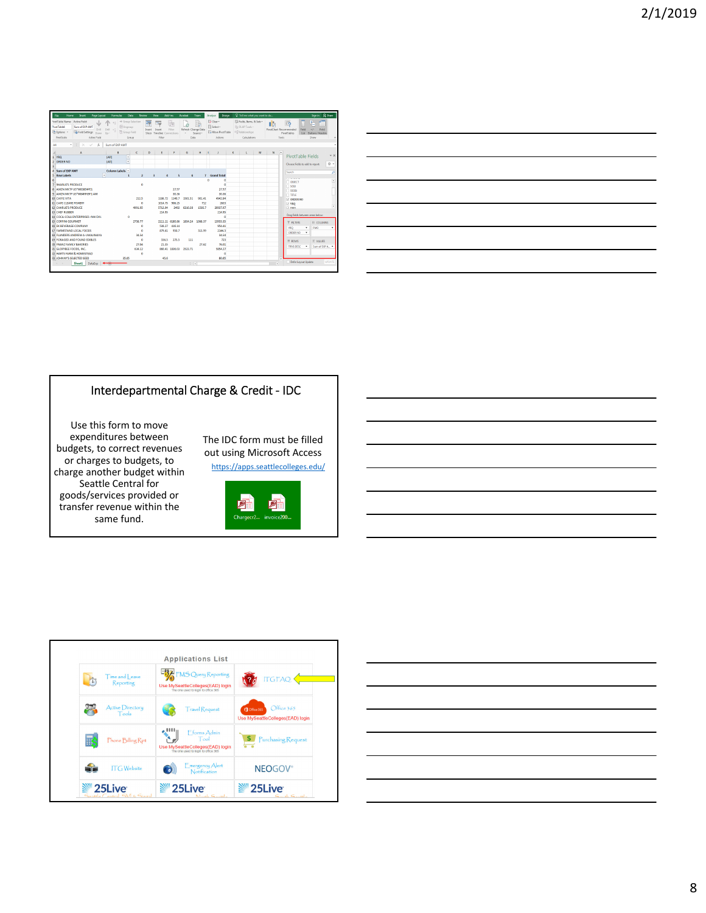| <b>SystTable Name: Active Field:</b><br>+ Group Selection<br>屋<br>小<br>岩<br>$\sim$<br>$-10$<br><b>Cill</b> Ungroup<br><b>PivotTable1</b><br>Sum of EXP AMT<br>Drill Drill <<br>Refresh Change Data<br>Fiter<br>Insert<br>Iroen<br>A Options -<br><b>The Field Settings</b><br><b>Th</b> Group Field<br>Uo -<br>Down<br>Timeline Connections<br>Sácer<br>$\sim$<br><b>PleatTable</b><br>Adive Field<br>Group<br>Filter<br>Data<br>$\times$<br>ĥ.<br>Sum of EXP AMT<br>ΔA<br>÷<br>$\checkmark$<br>c<br>B.<br>D<br>Ε<br>F.<br>G<br>Δ<br><b>YRO</b><br><b>CAJI)</b><br>ĕ<br>(AII)<br>$\overline{2}$<br><b>ORDER NO</b><br>ä<br>4 Sum of EXP AMT<br>Column Labels<br>$\overline{\phantom{a}}$<br>5 Row Labels<br>$\mathbf{1}$<br>$\overline{2}$<br>$\overline{\mathbf{3}}$<br>4<br>5<br>s.<br>6<br><b>7 SHARLIF'S PRODUCE</b><br>٠<br>8 AMZN MKTP LIS*MR38F4PF1<br>27.97<br>9 AMZN MKTP US*M&ARF69F1 AM<br>30.36<br><b>ID CAFFF VITA</b><br>212.5<br>1186.72<br>1140.7<br>1501.51<br><b>11 CAPE CLEARE FISHERY</b><br>٥<br>1014.75<br>906.25<br><b>12 CHARLIE'S PRODUCE</b><br>4991.95<br>5712.94<br>2492<br>6210.38<br>13 CHEF RUBBER<br>214.95<br>14 COCA-COLA ENTERPRISES -NW DIV.<br>b. | E Clear v<br>F& Fields, Items, & Sets -<br>Æ<br><b>B</b><br>۹.<br>B<br>ı.<br>a<br>El Select -<br>III. OLAP Tools -<br>Field<br>$+1$<br><b>PivotChart Recommended</b><br>Field<br>OR Relationships<br><b>F2 Move PivotTable</b><br>Source v<br>PivotTables<br><b>Buttons Headers</b><br>List.<br>Actions<br>Calculations<br>Tools<br><b>Show</b><br>M<br>ĸ<br>N<br>H<br>$\blacksquare$<br>$\overline{\phantom{a}}$<br>-<br>- 1<br>PivotTable Fields<br>Choose fields to add to report:<br><b>Search</b><br>7 Grand Total<br><b>Contractor</b><br>٨<br><b>OBJECT</b><br>٥<br><b>CORP</b><br>27.97<br>SSORI<br>30.36<br>$T$ times<br>4942.84<br>901.41 |
|----------------------------------------------------------------------------------------------------------------------------------------------------------------------------------------------------------------------------------------------------------------------------------------------------------------------------------------------------------------------------------------------------------------------------------------------------------------------------------------------------------------------------------------------------------------------------------------------------------------------------------------------------------------------------------------------------------------------------------------------------------------------------------------------------------------------------------------------------------------------------------------------------------------------------------------------------------------------------------------------------------------------------------------------------------------------------------------------------------------------------------------------------------------------------------------|-----------------------------------------------------------------------------------------------------------------------------------------------------------------------------------------------------------------------------------------------------------------------------------------------------------------------------------------------------------------------------------------------------------------------------------------------------------------------------------------------------------------------------------------------------------------------------------------------------------------------------------------------------|
|                                                                                                                                                                                                                                                                                                                                                                                                                                                                                                                                                                                                                                                                                                                                                                                                                                                                                                                                                                                                                                                                                                                                                                                        |                                                                                                                                                                                                                                                                                                                                                                                                                                                                                                                                                                                                                                                     |
|                                                                                                                                                                                                                                                                                                                                                                                                                                                                                                                                                                                                                                                                                                                                                                                                                                                                                                                                                                                                                                                                                                                                                                                        |                                                                                                                                                                                                                                                                                                                                                                                                                                                                                                                                                                                                                                                     |
|                                                                                                                                                                                                                                                                                                                                                                                                                                                                                                                                                                                                                                                                                                                                                                                                                                                                                                                                                                                                                                                                                                                                                                                        |                                                                                                                                                                                                                                                                                                                                                                                                                                                                                                                                                                                                                                                     |
|                                                                                                                                                                                                                                                                                                                                                                                                                                                                                                                                                                                                                                                                                                                                                                                                                                                                                                                                                                                                                                                                                                                                                                                        |                                                                                                                                                                                                                                                                                                                                                                                                                                                                                                                                                                                                                                                     |
|                                                                                                                                                                                                                                                                                                                                                                                                                                                                                                                                                                                                                                                                                                                                                                                                                                                                                                                                                                                                                                                                                                                                                                                        |                                                                                                                                                                                                                                                                                                                                                                                                                                                                                                                                                                                                                                                     |
|                                                                                                                                                                                                                                                                                                                                                                                                                                                                                                                                                                                                                                                                                                                                                                                                                                                                                                                                                                                                                                                                                                                                                                                        |                                                                                                                                                                                                                                                                                                                                                                                                                                                                                                                                                                                                                                                     |
|                                                                                                                                                                                                                                                                                                                                                                                                                                                                                                                                                                                                                                                                                                                                                                                                                                                                                                                                                                                                                                                                                                                                                                                        |                                                                                                                                                                                                                                                                                                                                                                                                                                                                                                                                                                                                                                                     |
|                                                                                                                                                                                                                                                                                                                                                                                                                                                                                                                                                                                                                                                                                                                                                                                                                                                                                                                                                                                                                                                                                                                                                                                        |                                                                                                                                                                                                                                                                                                                                                                                                                                                                                                                                                                                                                                                     |
|                                                                                                                                                                                                                                                                                                                                                                                                                                                                                                                                                                                                                                                                                                                                                                                                                                                                                                                                                                                                                                                                                                                                                                                        |                                                                                                                                                                                                                                                                                                                                                                                                                                                                                                                                                                                                                                                     |
|                                                                                                                                                                                                                                                                                                                                                                                                                                                                                                                                                                                                                                                                                                                                                                                                                                                                                                                                                                                                                                                                                                                                                                                        |                                                                                                                                                                                                                                                                                                                                                                                                                                                                                                                                                                                                                                                     |
|                                                                                                                                                                                                                                                                                                                                                                                                                                                                                                                                                                                                                                                                                                                                                                                                                                                                                                                                                                                                                                                                                                                                                                                        |                                                                                                                                                                                                                                                                                                                                                                                                                                                                                                                                                                                                                                                     |
|                                                                                                                                                                                                                                                                                                                                                                                                                                                                                                                                                                                                                                                                                                                                                                                                                                                                                                                                                                                                                                                                                                                                                                                        |                                                                                                                                                                                                                                                                                                                                                                                                                                                                                                                                                                                                                                                     |
|                                                                                                                                                                                                                                                                                                                                                                                                                                                                                                                                                                                                                                                                                                                                                                                                                                                                                                                                                                                                                                                                                                                                                                                        |                                                                                                                                                                                                                                                                                                                                                                                                                                                                                                                                                                                                                                                     |
|                                                                                                                                                                                                                                                                                                                                                                                                                                                                                                                                                                                                                                                                                                                                                                                                                                                                                                                                                                                                                                                                                                                                                                                        | ORDER NO                                                                                                                                                                                                                                                                                                                                                                                                                                                                                                                                                                                                                                            |
|                                                                                                                                                                                                                                                                                                                                                                                                                                                                                                                                                                                                                                                                                                                                                                                                                                                                                                                                                                                                                                                                                                                                                                                        | 712<br>2633<br>$\vee$ YRO                                                                                                                                                                                                                                                                                                                                                                                                                                                                                                                                                                                                                           |
|                                                                                                                                                                                                                                                                                                                                                                                                                                                                                                                                                                                                                                                                                                                                                                                                                                                                                                                                                                                                                                                                                                                                                                                        | 1530.7<br>20937.97<br><b>CERAOL</b>                                                                                                                                                                                                                                                                                                                                                                                                                                                                                                                                                                                                                 |
|                                                                                                                                                                                                                                                                                                                                                                                                                                                                                                                                                                                                                                                                                                                                                                                                                                                                                                                                                                                                                                                                                                                                                                                        | 214.95<br>Drag fields between areas below:                                                                                                                                                                                                                                                                                                                                                                                                                                                                                                                                                                                                          |
|                                                                                                                                                                                                                                                                                                                                                                                                                                                                                                                                                                                                                                                                                                                                                                                                                                                                                                                                                                                                                                                                                                                                                                                        | ň                                                                                                                                                                                                                                                                                                                                                                                                                                                                                                                                                                                                                                                   |
| <b>IS CORFINI GOURMET</b><br>2738.77<br>2111.11 6180.86<br>1834.24                                                                                                                                                                                                                                                                                                                                                                                                                                                                                                                                                                                                                                                                                                                                                                                                                                                                                                                                                                                                                                                                                                                     | 13933.35<br>1068.37<br>III COLUMNS<br><b>T FUTERS</b>                                                                                                                                                                                                                                                                                                                                                                                                                                                                                                                                                                                               |
| 16 EX BEVERAGE COMPANY<br>416.14<br>538.27<br>۰                                                                                                                                                                                                                                                                                                                                                                                                                                                                                                                                                                                                                                                                                                                                                                                                                                                                                                                                                                                                                                                                                                                                        | 954.41<br><b>FMO</b><br>YRO<br>۰.                                                                                                                                                                                                                                                                                                                                                                                                                                                                                                                                                                                                                   |
| 17 FARMSTAND LOCAL FOODS<br>950.7<br>۰<br>879.61                                                                                                                                                                                                                                                                                                                                                                                                                                                                                                                                                                                                                                                                                                                                                                                                                                                                                                                                                                                                                                                                                                                                       | 313.99<br>2144.3<br>ORDER NO<br>٠                                                                                                                                                                                                                                                                                                                                                                                                                                                                                                                                                                                                                   |
| <b>18 FLANDERS ANDREW A-UWAJIMAYA</b><br>34.54                                                                                                                                                                                                                                                                                                                                                                                                                                                                                                                                                                                                                                                                                                                                                                                                                                                                                                                                                                                                                                                                                                                                         | 34.54                                                                                                                                                                                                                                                                                                                                                                                                                                                                                                                                                                                                                                               |
| 19 FORAGED AND FOUND EDIRLES<br>٠<br>336.5<br>275.5<br>111                                                                                                                                                                                                                                                                                                                                                                                                                                                                                                                                                                                                                                                                                                                                                                                                                                                                                                                                                                                                                                                                                                                             | 723<br><b>E VALUES</b><br>$\equiv$ soves                                                                                                                                                                                                                                                                                                                                                                                                                                                                                                                                                                                                            |
| 27.04<br>21.35<br><b>20 FRANZ FAMILY BAKERIES</b>                                                                                                                                                                                                                                                                                                                                                                                                                                                                                                                                                                                                                                                                                                                                                                                                                                                                                                                                                                                                                                                                                                                                      | 27.62<br>76.01<br>Sum of EXP A.,<br>TRAIS DESC.<br>$\bullet$                                                                                                                                                                                                                                                                                                                                                                                                                                                                                                                                                                                        |
| 21 GLORYBEE FOODS, INC.<br>634.12<br>860.41 1836.03 2523.71                                                                                                                                                                                                                                                                                                                                                                                                                                                                                                                                                                                                                                                                                                                                                                                                                                                                                                                                                                                                                                                                                                                            | 5854.27                                                                                                                                                                                                                                                                                                                                                                                                                                                                                                                                                                                                                                             |
| 22 HARTS FARM & HOMESTEAD<br>۰                                                                                                                                                                                                                                                                                                                                                                                                                                                                                                                                                                                                                                                                                                                                                                                                                                                                                                                                                                                                                                                                                                                                                         | ٥                                                                                                                                                                                                                                                                                                                                                                                                                                                                                                                                                                                                                                                   |
| <b>23 JOHNNY'S SELECTED SEED</b><br>45.6<br>35.05                                                                                                                                                                                                                                                                                                                                                                                                                                                                                                                                                                                                                                                                                                                                                                                                                                                                                                                                                                                                                                                                                                                                      | 80.65                                                                                                                                                                                                                                                                                                                                                                                                                                                                                                                                                                                                                                               |
| 1 1 1 1  <br>DataExp<br><b>Sheet1</b><br>$\mathcal{L} = \mathcal{L}$                                                                                                                                                                                                                                                                                                                                                                                                                                                                                                                                                                                                                                                                                                                                                                                                                                                                                                                                                                                                                                                                                                                   | UPDATE<br>Defer Lavout Update<br>$\overline{1}$                                                                                                                                                                                                                                                                                                                                                                                                                                                                                                                                                                                                     |

| <u> 1989 - Andrea Santa Andrea Andrea Andrea Andrea Andrea Andrea Andrea Andrea Andrea Andrea Andrea Andrea Andr</u>  |  |                                            |
|-----------------------------------------------------------------------------------------------------------------------|--|--------------------------------------------|
| <u> 1989 - Andrea Andrea Andrea Andrea Andrea Andrea Andrea Andrea Andrea Andrea Andrea Andrea Andrea Andrea And</u>  |  |                                            |
| <u> 1989 - Johann Stoff, amerikansk politiker (d. 1989)</u>                                                           |  |                                            |
| <u> 1989 - Andrea Santa Andrea Andrea Andrea Andrea Andrea Andrea Andrea Andrea Andrea Andrea Andrea Andrea Andr</u>  |  |                                            |
| <u> 1989 - Johann Stoff, deutscher Stoff, der Stoff, der Stoff, der Stoff, der Stoff, der Stoff, der Stoff, der S</u> |  | <b>Contract Contract Contract Contract</b> |
|                                                                                                                       |  |                                            |

## Interdepartmental Charge & Credit ‐ IDC

Use this form to move expenditures between budgets, to correct revenues or charges to budgets, to charge another budget within Seattle Central for goods/services provided or transfer revenue within the same fund.

The IDC form must be filled out using Microsoft Access https://apps.seattlecolleges.edu/



|                                       | <b>Applications List</b>                                                                             |                                                              |
|---------------------------------------|------------------------------------------------------------------------------------------------------|--------------------------------------------------------------|
| Time and Leave<br>Reporting           | <b>MS Query Reporting</b><br>Use MySeattleColleges(EAD) login<br>The one used to login to office 365 | <b>ITGFAQ</b><br>L ? /                                       |
| <b>Active Directory</b><br>Tools      | <b>Travel Request</b>                                                                                | Office 365<br>Office 365<br>Use MySeattleColleges(EAD) login |
| Phone Billing Rpt                     | F forms Admin<br>Tool<br>Use MySeattleColleges(EAD) login                                            | <b>Purchasing Request</b>                                    |
| <b>ITG</b> Website                    | Emergency Alert<br>Notification                                                                      | <b>NEOGOV</b> <sup>®</sup>                                   |
| 25Live<br>Seattle Central SVIs Sieral | 25Live<br>$N_{\text{total}} \subseteq M$                                                             | 25Live<br>د به در دان                                        |